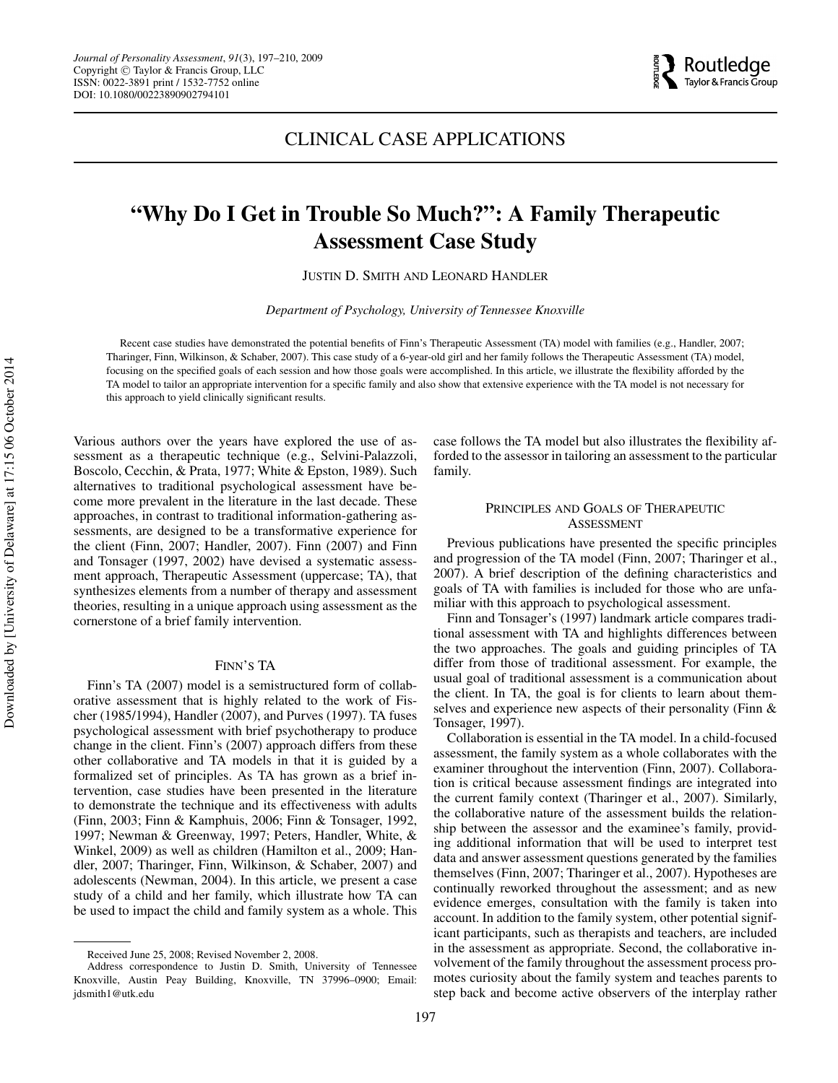

# CLINICAL CASE APPLICATIONS

# **"Why Do I Get in Trouble So Much?": A Family Therapeutic Assessment Case Study**

JUSTIN D. SMITH AND LEONARD HANDLER

*Department of Psychology, University of Tennessee Knoxville*

Recent case studies have demonstrated the potential benefits of Finn's Therapeutic Assessment (TA) model with families (e.g., Handler, 2007; Tharinger, Finn, Wilkinson, & Schaber, 2007). This case study of a 6-year-old girl and her family follows the Therapeutic Assessment (TA) model, focusing on the specified goals of each session and how those goals were accomplished. In this article, we illustrate the flexibility afforded by the TA model to tailor an appropriate intervention for a specific family and also show that extensive experience with the TA model is not necessary for this approach to yield clinically significant results.

Various authors over the years have explored the use of assessment as a therapeutic technique (e.g., Selvini-Palazzoli, Boscolo, Cecchin, & Prata, 1977; White & Epston, 1989). Such alternatives to traditional psychological assessment have become more prevalent in the literature in the last decade. These approaches, in contrast to traditional information-gathering assessments, are designed to be a transformative experience for the client (Finn, 2007; Handler, 2007). Finn (2007) and Finn and Tonsager (1997, 2002) have devised a systematic assessment approach, Therapeutic Assessment (uppercase; TA), that synthesizes elements from a number of therapy and assessment theories, resulting in a unique approach using assessment as the cornerstone of a brief family intervention.

#### FINN'S TA

Finn's TA (2007) model is a semistructured form of collaborative assessment that is highly related to the work of Fischer (1985/1994), Handler (2007), and Purves (1997). TA fuses psychological assessment with brief psychotherapy to produce change in the client. Finn's (2007) approach differs from these other collaborative and TA models in that it is guided by a formalized set of principles. As TA has grown as a brief intervention, case studies have been presented in the literature to demonstrate the technique and its effectiveness with adults (Finn, 2003; Finn & Kamphuis, 2006; Finn & Tonsager, 1992, 1997; Newman & Greenway, 1997; Peters, Handler, White, & Winkel, 2009) as well as children (Hamilton et al., 2009; Handler, 2007; Tharinger, Finn, Wilkinson, & Schaber, 2007) and adolescents (Newman, 2004). In this article, we present a case study of a child and her family, which illustrate how TA can be used to impact the child and family system as a whole. This case follows the TA model but also illustrates the flexibility afforded to the assessor in tailoring an assessment to the particular family.

# PRINCIPLES AND GOALS OF THERAPEUTIC ASSESSMENT

Previous publications have presented the specific principles and progression of the TA model (Finn, 2007; Tharinger et al., 2007). A brief description of the defining characteristics and goals of TA with families is included for those who are unfamiliar with this approach to psychological assessment.

Finn and Tonsager's (1997) landmark article compares traditional assessment with TA and highlights differences between the two approaches. The goals and guiding principles of TA differ from those of traditional assessment. For example, the usual goal of traditional assessment is a communication about the client. In TA, the goal is for clients to learn about themselves and experience new aspects of their personality (Finn & Tonsager, 1997).

Collaboration is essential in the TA model. In a child-focused assessment, the family system as a whole collaborates with the examiner throughout the intervention (Finn, 2007). Collaboration is critical because assessment findings are integrated into the current family context (Tharinger et al., 2007). Similarly, the collaborative nature of the assessment builds the relationship between the assessor and the examinee's family, providing additional information that will be used to interpret test data and answer assessment questions generated by the families themselves (Finn, 2007; Tharinger et al., 2007). Hypotheses are continually reworked throughout the assessment; and as new evidence emerges, consultation with the family is taken into account. In addition to the family system, other potential significant participants, such as therapists and teachers, are included in the assessment as appropriate. Second, the collaborative involvement of the family throughout the assessment process promotes curiosity about the family system and teaches parents to step back and become active observers of the interplay rather

Received June 25, 2008; Revised November 2, 2008.

Address correspondence to Justin D. Smith, University of Tennessee Knoxville, Austin Peay Building, Knoxville, TN 37996–0900; Email: jdsmith1@utk.edu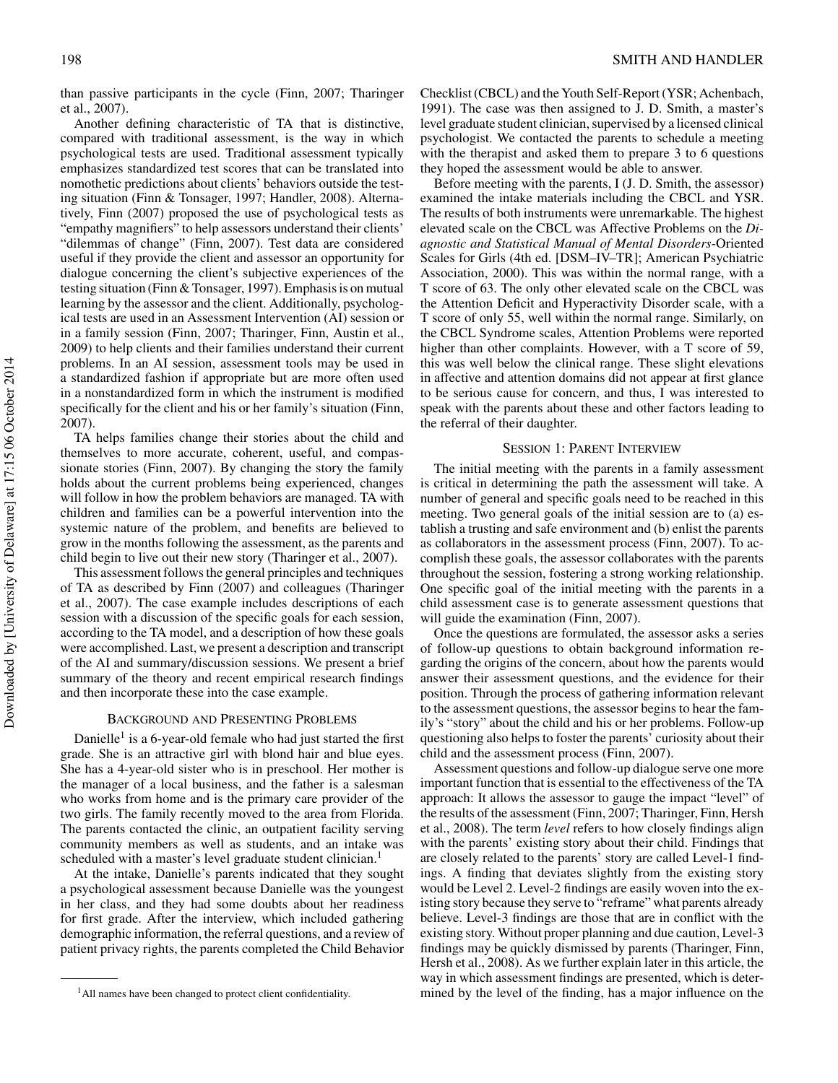than passive participants in the cycle (Finn, 2007; Tharinger et al., 2007).

Another defining characteristic of TA that is distinctive, compared with traditional assessment, is the way in which psychological tests are used. Traditional assessment typically emphasizes standardized test scores that can be translated into nomothetic predictions about clients' behaviors outside the testing situation (Finn & Tonsager, 1997; Handler, 2008). Alternatively, Finn (2007) proposed the use of psychological tests as "empathy magnifiers" to help assessors understand their clients' "dilemmas of change" (Finn, 2007). Test data are considered useful if they provide the client and assessor an opportunity for dialogue concerning the client's subjective experiences of the testing situation (Finn & Tonsager, 1997). Emphasis is on mutual learning by the assessor and the client. Additionally, psychological tests are used in an Assessment Intervention (AI) session or in a family session (Finn, 2007; Tharinger, Finn, Austin et al., 2009) to help clients and their families understand their current problems. In an AI session, assessment tools may be used in a standardized fashion if appropriate but are more often used in a nonstandardized form in which the instrument is modified specifically for the client and his or her family's situation (Finn, 2007).

TA helps families change their stories about the child and themselves to more accurate, coherent, useful, and compassionate stories (Finn, 2007). By changing the story the family holds about the current problems being experienced, changes will follow in how the problem behaviors are managed. TA with children and families can be a powerful intervention into the systemic nature of the problem, and benefits are believed to grow in the months following the assessment, as the parents and child begin to live out their new story (Tharinger et al., 2007).

This assessment follows the general principles and techniques of TA as described by Finn (2007) and colleagues (Tharinger et al., 2007). The case example includes descriptions of each session with a discussion of the specific goals for each session, according to the TA model, and a description of how these goals were accomplished. Last, we present a description and transcript of the AI and summary/discussion sessions. We present a brief summary of the theory and recent empirical research findings and then incorporate these into the case example.

#### BACKGROUND AND PRESENTING PROBLEMS

Danielle<sup>1</sup> is a 6-year-old female who had just started the first grade. She is an attractive girl with blond hair and blue eyes. She has a 4-year-old sister who is in preschool. Her mother is the manager of a local business, and the father is a salesman who works from home and is the primary care provider of the two girls. The family recently moved to the area from Florida. The parents contacted the clinic, an outpatient facility serving community members as well as students, and an intake was scheduled with a master's level graduate student clinician.<sup>1</sup>

At the intake, Danielle's parents indicated that they sought a psychological assessment because Danielle was the youngest in her class, and they had some doubts about her readiness for first grade. After the interview, which included gathering demographic information, the referral questions, and a review of patient privacy rights, the parents completed the Child Behavior Checklist (CBCL) and the Youth Self-Report (YSR; Achenbach, 1991). The case was then assigned to J. D. Smith, a master's level graduate student clinician, supervised by a licensed clinical psychologist. We contacted the parents to schedule a meeting with the therapist and asked them to prepare 3 to 6 questions they hoped the assessment would be able to answer.

Before meeting with the parents, I (J. D. Smith, the assessor) examined the intake materials including the CBCL and YSR. The results of both instruments were unremarkable. The highest elevated scale on the CBCL was Affective Problems on the *Diagnostic and Statistical Manual of Mental Disorders*-Oriented Scales for Girls (4th ed. [DSM–IV–TR]; American Psychiatric Association, 2000). This was within the normal range, with a T score of 63. The only other elevated scale on the CBCL was the Attention Deficit and Hyperactivity Disorder scale, with a T score of only 55, well within the normal range. Similarly, on the CBCL Syndrome scales, Attention Problems were reported higher than other complaints. However, with a T score of 59, this was well below the clinical range. These slight elevations in affective and attention domains did not appear at first glance to be serious cause for concern, and thus, I was interested to speak with the parents about these and other factors leading to the referral of their daughter.

# SESSION 1: PARENT INTERVIEW

The initial meeting with the parents in a family assessment is critical in determining the path the assessment will take. A number of general and specific goals need to be reached in this meeting. Two general goals of the initial session are to (a) establish a trusting and safe environment and (b) enlist the parents as collaborators in the assessment process (Finn, 2007). To accomplish these goals, the assessor collaborates with the parents throughout the session, fostering a strong working relationship. One specific goal of the initial meeting with the parents in a child assessment case is to generate assessment questions that will guide the examination (Finn, 2007).

Once the questions are formulated, the assessor asks a series of follow-up questions to obtain background information regarding the origins of the concern, about how the parents would answer their assessment questions, and the evidence for their position. Through the process of gathering information relevant to the assessment questions, the assessor begins to hear the family's "story" about the child and his or her problems. Follow-up questioning also helps to foster the parents' curiosity about their child and the assessment process (Finn, 2007).

Assessment questions and follow-up dialogue serve one more important function that is essential to the effectiveness of the TA approach: It allows the assessor to gauge the impact "level" of the results of the assessment (Finn, 2007; Tharinger, Finn, Hersh et al., 2008). The term *level* refers to how closely findings align with the parents' existing story about their child. Findings that are closely related to the parents' story are called Level-1 findings. A finding that deviates slightly from the existing story would be Level 2. Level-2 findings are easily woven into the existing story because they serve to "reframe" what parents already believe. Level-3 findings are those that are in conflict with the existing story. Without proper planning and due caution, Level-3 findings may be quickly dismissed by parents (Tharinger, Finn, Hersh et al., 2008). As we further explain later in this article, the way in which assessment findings are presented, which is determined by the level of the finding, has a major influence on the

<sup>&</sup>lt;sup>1</sup>All names have been changed to protect client confidentiality.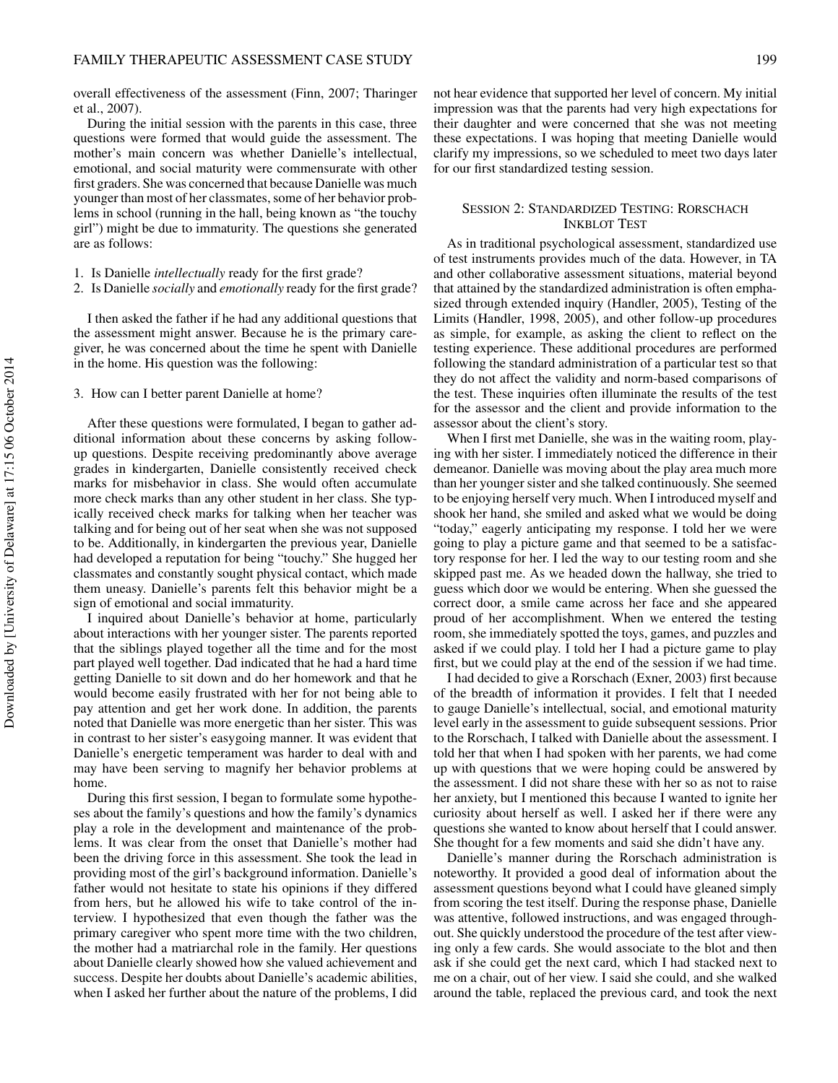overall effectiveness of the assessment (Finn, 2007; Tharinger et al., 2007).

During the initial session with the parents in this case, three questions were formed that would guide the assessment. The mother's main concern was whether Danielle's intellectual, emotional, and social maturity were commensurate with other first graders. She was concerned that because Danielle was much younger than most of her classmates, some of her behavior problems in school (running in the hall, being known as "the touchy girl") might be due to immaturity. The questions she generated are as follows:

#### 1. Is Danielle *intellectually* ready for the first grade?

#### 2. Is Danielle *socially* and *emotionally* ready for the first grade?

I then asked the father if he had any additional questions that the assessment might answer. Because he is the primary caregiver, he was concerned about the time he spent with Danielle in the home. His question was the following:

#### 3. How can I better parent Danielle at home?

After these questions were formulated, I began to gather additional information about these concerns by asking followup questions. Despite receiving predominantly above average grades in kindergarten, Danielle consistently received check marks for misbehavior in class. She would often accumulate more check marks than any other student in her class. She typically received check marks for talking when her teacher was talking and for being out of her seat when she was not supposed to be. Additionally, in kindergarten the previous year, Danielle had developed a reputation for being "touchy." She hugged her classmates and constantly sought physical contact, which made them uneasy. Danielle's parents felt this behavior might be a sign of emotional and social immaturity.

I inquired about Danielle's behavior at home, particularly about interactions with her younger sister. The parents reported that the siblings played together all the time and for the most part played well together. Dad indicated that he had a hard time getting Danielle to sit down and do her homework and that he would become easily frustrated with her for not being able to pay attention and get her work done. In addition, the parents noted that Danielle was more energetic than her sister. This was in contrast to her sister's easygoing manner. It was evident that Danielle's energetic temperament was harder to deal with and may have been serving to magnify her behavior problems at home.

During this first session, I began to formulate some hypotheses about the family's questions and how the family's dynamics play a role in the development and maintenance of the problems. It was clear from the onset that Danielle's mother had been the driving force in this assessment. She took the lead in providing most of the girl's background information. Danielle's father would not hesitate to state his opinions if they differed from hers, but he allowed his wife to take control of the interview. I hypothesized that even though the father was the primary caregiver who spent more time with the two children, the mother had a matriarchal role in the family. Her questions about Danielle clearly showed how she valued achievement and success. Despite her doubts about Danielle's academic abilities, when I asked her further about the nature of the problems, I did not hear evidence that supported her level of concern. My initial impression was that the parents had very high expectations for their daughter and were concerned that she was not meeting these expectations. I was hoping that meeting Danielle would clarify my impressions, so we scheduled to meet two days later for our first standardized testing session.

# SESSION 2: STANDARDIZED TESTING: RORSCHACH INKBLOT TEST

As in traditional psychological assessment, standardized use of test instruments provides much of the data. However, in TA and other collaborative assessment situations, material beyond that attained by the standardized administration is often emphasized through extended inquiry (Handler, 2005), Testing of the Limits (Handler, 1998, 2005), and other follow-up procedures as simple, for example, as asking the client to reflect on the testing experience. These additional procedures are performed following the standard administration of a particular test so that they do not affect the validity and norm-based comparisons of the test. These inquiries often illuminate the results of the test for the assessor and the client and provide information to the assessor about the client's story.

When I first met Danielle, she was in the waiting room, playing with her sister. I immediately noticed the difference in their demeanor. Danielle was moving about the play area much more than her younger sister and she talked continuously. She seemed to be enjoying herself very much. When I introduced myself and shook her hand, she smiled and asked what we would be doing "today," eagerly anticipating my response. I told her we were going to play a picture game and that seemed to be a satisfactory response for her. I led the way to our testing room and she skipped past me. As we headed down the hallway, she tried to guess which door we would be entering. When she guessed the correct door, a smile came across her face and she appeared proud of her accomplishment. When we entered the testing room, she immediately spotted the toys, games, and puzzles and asked if we could play. I told her I had a picture game to play first, but we could play at the end of the session if we had time.

I had decided to give a Rorschach (Exner, 2003) first because of the breadth of information it provides. I felt that I needed to gauge Danielle's intellectual, social, and emotional maturity level early in the assessment to guide subsequent sessions. Prior to the Rorschach, I talked with Danielle about the assessment. I told her that when I had spoken with her parents, we had come up with questions that we were hoping could be answered by the assessment. I did not share these with her so as not to raise her anxiety, but I mentioned this because I wanted to ignite her curiosity about herself as well. I asked her if there were any questions she wanted to know about herself that I could answer. She thought for a few moments and said she didn't have any.

Danielle's manner during the Rorschach administration is noteworthy. It provided a good deal of information about the assessment questions beyond what I could have gleaned simply from scoring the test itself. During the response phase, Danielle was attentive, followed instructions, and was engaged throughout. She quickly understood the procedure of the test after viewing only a few cards. She would associate to the blot and then ask if she could get the next card, which I had stacked next to me on a chair, out of her view. I said she could, and she walked around the table, replaced the previous card, and took the next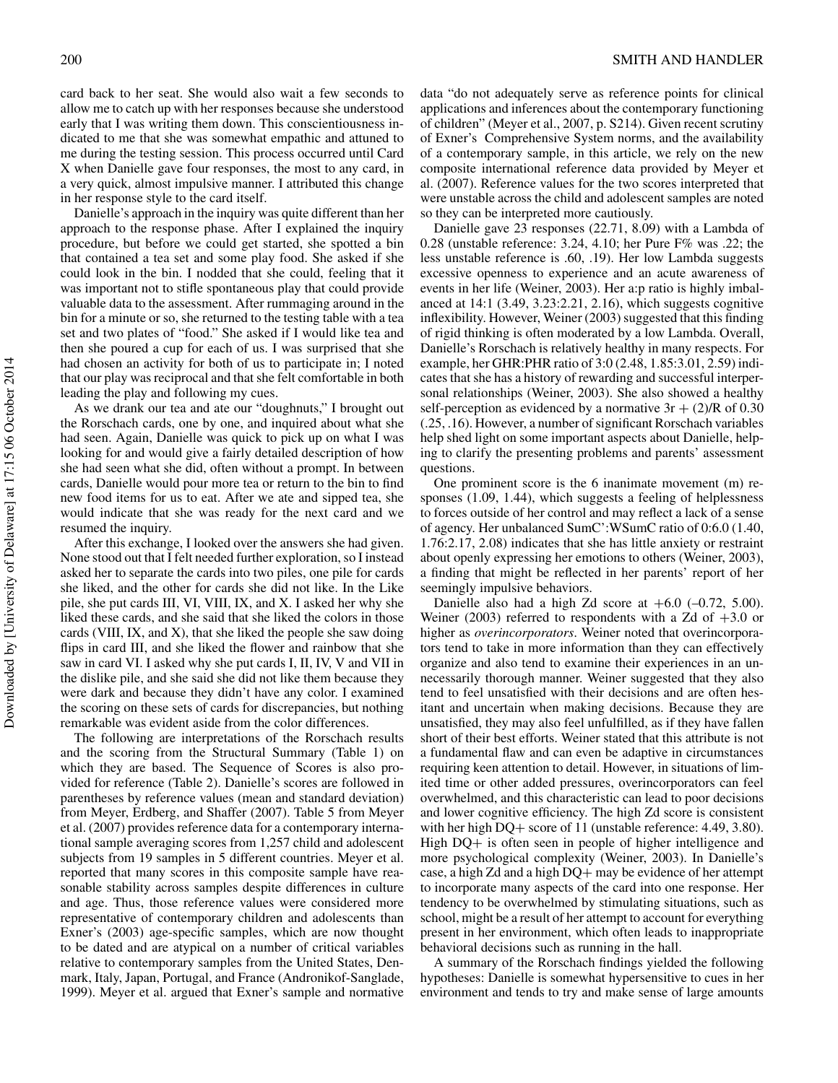card back to her seat. She would also wait a few seconds to allow me to catch up with her responses because she understood early that I was writing them down. This conscientiousness indicated to me that she was somewhat empathic and attuned to me during the testing session. This process occurred until Card X when Danielle gave four responses, the most to any card, in a very quick, almost impulsive manner. I attributed this change in her response style to the card itself.

Danielle's approach in the inquiry was quite different than her approach to the response phase. After I explained the inquiry procedure, but before we could get started, she spotted a bin that contained a tea set and some play food. She asked if she could look in the bin. I nodded that she could, feeling that it was important not to stifle spontaneous play that could provide valuable data to the assessment. After rummaging around in the bin for a minute or so, she returned to the testing table with a tea set and two plates of "food." She asked if I would like tea and then she poured a cup for each of us. I was surprised that she had chosen an activity for both of us to participate in; I noted that our play was reciprocal and that she felt comfortable in both leading the play and following my cues.

As we drank our tea and ate our "doughnuts," I brought out the Rorschach cards, one by one, and inquired about what she had seen. Again, Danielle was quick to pick up on what I was looking for and would give a fairly detailed description of how she had seen what she did, often without a prompt. In between cards, Danielle would pour more tea or return to the bin to find new food items for us to eat. After we ate and sipped tea, she would indicate that she was ready for the next card and we resumed the inquiry.

After this exchange, I looked over the answers she had given. None stood out that I felt needed further exploration, so I instead asked her to separate the cards into two piles, one pile for cards she liked, and the other for cards she did not like. In the Like pile, she put cards III, VI, VIII, IX, and X. I asked her why she liked these cards, and she said that she liked the colors in those cards (VIII, IX, and X), that she liked the people she saw doing flips in card III, and she liked the flower and rainbow that she saw in card VI. I asked why she put cards I, II, IV, V and VII in the dislike pile, and she said she did not like them because they were dark and because they didn't have any color. I examined the scoring on these sets of cards for discrepancies, but nothing remarkable was evident aside from the color differences.

The following are interpretations of the Rorschach results and the scoring from the Structural Summary (Table 1) on which they are based. The Sequence of Scores is also provided for reference (Table 2). Danielle's scores are followed in parentheses by reference values (mean and standard deviation) from Meyer, Erdberg, and Shaffer (2007). Table 5 from Meyer et al. (2007) provides reference data for a contemporary international sample averaging scores from 1,257 child and adolescent subjects from 19 samples in 5 different countries. Meyer et al. reported that many scores in this composite sample have reasonable stability across samples despite differences in culture and age. Thus, those reference values were considered more representative of contemporary children and adolescents than Exner's (2003) age-specific samples, which are now thought to be dated and are atypical on a number of critical variables relative to contemporary samples from the United States, Denmark, Italy, Japan, Portugal, and France (Andronikof-Sanglade, 1999). Meyer et al. argued that Exner's sample and normative

data "do not adequately serve as reference points for clinical applications and inferences about the contemporary functioning of children" (Meyer et al., 2007, p. S214). Given recent scrutiny of Exner's Comprehensive System norms, and the availability of a contemporary sample, in this article, we rely on the new composite international reference data provided by Meyer et al. (2007). Reference values for the two scores interpreted that were unstable across the child and adolescent samples are noted so they can be interpreted more cautiously.

Danielle gave 23 responses (22.71, 8.09) with a Lambda of 0.28 (unstable reference: 3.24, 4.10; her Pure F% was .22; the less unstable reference is .60, .19). Her low Lambda suggests excessive openness to experience and an acute awareness of events in her life (Weiner, 2003). Her a:p ratio is highly imbalanced at 14:1 (3.49, 3.23:2.21, 2.16), which suggests cognitive inflexibility. However, Weiner (2003) suggested that this finding of rigid thinking is often moderated by a low Lambda. Overall, Danielle's Rorschach is relatively healthy in many respects. For example, her GHR:PHR ratio of 3:0 (2.48, 1.85:3.01, 2.59) indicates that she has a history of rewarding and successful interpersonal relationships (Weiner, 2003). She also showed a healthy self-perception as evidenced by a normative  $3r + (2)/R$  of 0.30 (.25, .16). However, a number of significant Rorschach variables help shed light on some important aspects about Danielle, helping to clarify the presenting problems and parents' assessment questions.

One prominent score is the 6 inanimate movement (m) responses (1.09, 1.44), which suggests a feeling of helplessness to forces outside of her control and may reflect a lack of a sense of agency. Her unbalanced SumC':WSumC ratio of 0:6.0 (1.40, 1.76:2.17, 2.08) indicates that she has little anxiety or restraint about openly expressing her emotions to others (Weiner, 2003), a finding that might be reflected in her parents' report of her seemingly impulsive behaviors.

Danielle also had a high Zd score at  $+6.0$  ( $-0.72$ , 5.00). Weiner (2003) referred to respondents with a Zd of  $+3.0$  or higher as *overincorporators*. Weiner noted that overincorporators tend to take in more information than they can effectively organize and also tend to examine their experiences in an unnecessarily thorough manner. Weiner suggested that they also tend to feel unsatisfied with their decisions and are often hesitant and uncertain when making decisions. Because they are unsatisfied, they may also feel unfulfilled, as if they have fallen short of their best efforts. Weiner stated that this attribute is not a fundamental flaw and can even be adaptive in circumstances requiring keen attention to detail. However, in situations of limited time or other added pressures, overincorporators can feel overwhelmed, and this characteristic can lead to poor decisions and lower cognitive efficiency. The high Zd score is consistent with her high DQ+ score of 11 (unstable reference: 4.49, 3.80). High DQ+ is often seen in people of higher intelligence and more psychological complexity (Weiner, 2003). In Danielle's case, a high Zd and a high DQ+ may be evidence of her attempt to incorporate many aspects of the card into one response. Her tendency to be overwhelmed by stimulating situations, such as school, might be a result of her attempt to account for everything present in her environment, which often leads to inappropriate behavioral decisions such as running in the hall.

A summary of the Rorschach findings yielded the following hypotheses: Danielle is somewhat hypersensitive to cues in her environment and tends to try and make sense of large amounts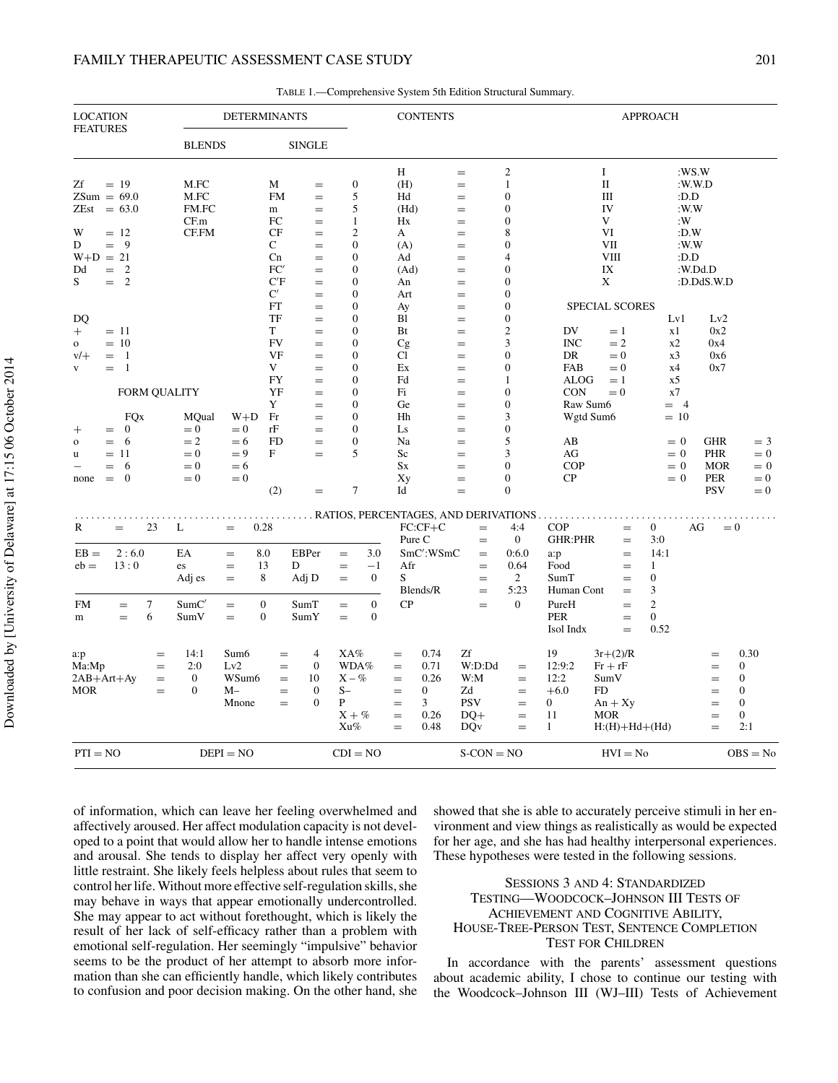| <b>LOCATION</b><br><b>FEATURES</b>                                                                                                                   | <b>DETERMINANTS</b>                                                                                     |                                                                                                                                                                  |                                                                                                                                                | <b>CONTENTS</b>                                                                                                                        |                                                                                                                                                                                                              |                                                                                                                  | <b>APPROACH</b>                                                                                    |                                                                                                                                                                            |  |
|------------------------------------------------------------------------------------------------------------------------------------------------------|---------------------------------------------------------------------------------------------------------|------------------------------------------------------------------------------------------------------------------------------------------------------------------|------------------------------------------------------------------------------------------------------------------------------------------------|----------------------------------------------------------------------------------------------------------------------------------------|--------------------------------------------------------------------------------------------------------------------------------------------------------------------------------------------------------------|------------------------------------------------------------------------------------------------------------------|----------------------------------------------------------------------------------------------------|----------------------------------------------------------------------------------------------------------------------------------------------------------------------------|--|
|                                                                                                                                                      | <b>BLENDS</b>                                                                                           | <b>SINGLE</b>                                                                                                                                                    |                                                                                                                                                |                                                                                                                                        |                                                                                                                                                                                                              |                                                                                                                  |                                                                                                    |                                                                                                                                                                            |  |
| $= 19$<br>Zf<br>$ZSum = 69.0$<br>$ZEst = 63.0$<br>W<br>$= 12$<br>$= 9$<br>D<br>$W+D = 21$<br>$\overline{2}$<br>Dd<br>$=$<br>S<br>2<br>$=$            | M.FC<br>M.FC<br>FM.FC<br>CF.m<br>CF.FM                                                                  | M<br>$=$<br><b>FM</b><br>$=$<br>$\mathbf m$<br>$=$<br>FC<br>$=$<br><b>CF</b><br>$=$<br>$\mathsf{C}$<br>$=$<br>Cn<br>$=$<br>FC'<br>$=$<br>C'F<br>$=$<br>C'<br>$=$ | $\boldsymbol{0}$<br>5<br>5<br>$\mathbf{1}$<br>$\overline{c}$<br>$\mathbf{0}$<br>$\theta$<br>$\overline{0}$<br>$\overline{0}$<br>$\overline{0}$ | H<br>(H)<br>Hd<br>(Hd)<br>Hx<br>A<br>(A)<br>Ad<br>(Ad)<br>An<br>Art                                                                    | $\mathbf{2}$<br>$=$<br>$\mathbf{1}$<br>$=$<br>$\mathbf{0}$<br>$=$<br>$\Omega$<br>$=$<br>$\Omega$<br>$=$<br>8<br>$=$<br>$\Omega$<br>$=$<br>$=$<br>4<br>$\Omega$<br>$=$<br>$\Omega$<br>$=$<br>$\Omega$<br>$=$  |                                                                                                                  | $\bf{I}$<br>$\mathbf{I}$<br>Ш<br>IV<br>V<br>VI<br>VII<br><b>VIII</b><br>IX<br>X                    | :WS.W<br>$:$ W.W.D<br>$:$ D.D<br>:W.W<br>:W<br>: D.W<br>:W.W<br>$:$ D.D<br>$:$ W.Dd.D<br>:D.DdS.W.D                                                                        |  |
| DQ<br>$= 11$<br>$= 10$<br>$\mathbf{o}$<br>$v/+$<br>$\overline{1}$<br>$=$<br>$=$<br>$\overline{1}$<br>$\mathbf{V}$                                    |                                                                                                         | <b>FT</b><br>$=$<br>TF<br>$=$<br>T<br>$=$<br><b>FV</b><br>$=$<br>VF<br>$=$<br>V<br>$=$<br><b>FY</b><br>$=$                                                       | $\overline{0}$<br>$\Omega$<br>$\Omega$<br>$\boldsymbol{0}$<br>$\overline{0}$<br>$\overline{0}$<br>$\overline{0}$                               | $\mathbf{A}\mathbf{y}$<br>B1<br>Bt<br>Cg<br>C1<br>Ex<br>Fd                                                                             | $\Omega$<br>$=$<br>$\Omega$<br>$=$<br>$\mathfrak{2}$<br>$=$<br>3<br>$=$<br>$\mathbf{0}$<br>$=$<br>$\mathbf{0}$<br>$=$<br>$\mathbf{1}$<br>$=$                                                                 | DV<br><b>INC</b><br>DR<br>FAB<br><b>ALOG</b>                                                                     | SPECIAL SCORES<br>$=1$<br>$=2$<br>$= 0$<br>$= 0$<br>$=1$                                           | Lv1<br>Lv2<br>0x2<br>x1<br>x2<br>0x4<br>x3<br>0x6<br>0x7<br>x4<br>x5                                                                                                       |  |
| <b>FORM QUALITY</b><br><b>FQx</b><br>$\mathbf{0}$<br>$^{+}$<br>$=$<br>6<br>$\mathbf{o}$<br>$=$<br>$= 11$<br>$\mathbf u$<br>6<br>$=$<br>$= 0$<br>none | MQual<br>$W+D$<br>$= 0$<br>$= 0$<br>$=2$<br>$= 6$<br>$= 0$<br>$= 9$<br>$= 0$<br>$= 6$<br>$= 0$<br>$= 0$ | YF<br>$=$<br>Y<br>$=$<br>Fr<br>$=$<br>rF<br>$=$<br><b>FD</b><br>$=$<br>F<br>$=$<br>(2)<br>$=$                                                                    | $\overline{0}$<br>$\overline{0}$<br>$\overline{0}$<br>$\boldsymbol{0}$<br>$\boldsymbol{0}$<br>5<br>$\tau$                                      | Fi<br>Ge<br>Hh<br>Ls<br>Na<br>Sc<br><b>Sx</b><br>Xy<br>Id                                                                              | $\mathbf{0}$<br>$\hspace*{0.2em} = \hspace*{0.2em}$<br>$\mathbf{0}$<br>$=$<br>3<br>$=$<br>$\mathbf{0}$<br>$=$<br>5<br>$=$<br>3<br>$=$<br>$\mathbf{0}$<br>$=$<br>$\mathbf{0}$<br>$=$<br>$\overline{0}$<br>$=$ | CON<br>AB<br>AG<br><b>COP</b><br>CP                                                                              | $= 0$<br>Raw Sum6<br>Wgtd Sum6                                                                     | $\ge 7$<br>$=$ 4<br>$= 10$<br>$= 0$<br><b>GHR</b><br>$=$ 3<br>$= 0$<br>$= 0$<br>PHR<br><b>MOR</b><br>$= 0$<br>$= 0$<br>$= 0$<br><b>PER</b><br>$= 0$<br><b>PSV</b><br>$= 0$ |  |
| 23<br>R<br>$=$<br>2:6.0<br>$EB =$<br>13:0<br>$eb =$                                                                                                  | L<br>$\!\!\!=\!\!\!\!$<br>EA<br>$=$<br>es<br>$=$                                                        | 0.28<br>EBPer<br>8.0<br>13<br>D                                                                                                                                  | 3.0<br>$=$<br>$-1$<br>$\hspace*{0.2em} = \hspace*{0.2em}$                                                                                      | $FC:CF + C$<br>Pure C<br>SmC':WSmC<br>Afr                                                                                              | $=$<br>$=$<br>$=$<br>$=$                                                                                                                                                                                     | 4:4<br><b>COP</b><br>$\boldsymbol{0}$<br><b>GHR:PHR</b><br>0:6.0<br>a:p<br>0.64<br>Food                          | $\overline{0}$<br>$\hspace{0.1in} = \hspace{0.1in}$<br>3:0<br>$=$<br>14:1<br>$=$<br>1<br>$=$       | AG<br>$= 0$                                                                                                                                                                |  |
| $\tau$<br><b>FM</b><br>$=$<br>6<br>$=$<br>m                                                                                                          | Adj es<br>$=$<br>SumC'<br>$=$<br>SumV<br>$=$                                                            | 8<br>Adj D<br>$\boldsymbol{0}$<br>SumT<br>$\mathbf{0}$<br>SumY                                                                                                   | $\overline{0}$<br>$=$<br>$\boldsymbol{0}$<br>$=$<br>$\boldsymbol{0}$<br>$=$                                                                    | S<br>Blends/R<br>CP                                                                                                                    | $=$<br>$=$<br>$=$                                                                                                                                                                                            | 2<br>SumT<br>5:23<br>Human Cont<br>$\mathbf{0}$<br>PureH<br><b>PER</b><br>Isol Indx                              | $\mathbf{0}$<br>$=$<br>3<br>$=$<br>$\overline{c}$<br>$=$<br>$\boldsymbol{0}$<br>$=$<br>0.52<br>$=$ |                                                                                                                                                                            |  |
| $=$<br>a:p<br>Ma:Mp<br>$=$<br>$2AB + Art + Ay$<br>$=$<br><b>MOR</b><br>$=$                                                                           | 14:1<br>Sum <sub>6</sub><br>2:0<br>Lv2<br>WSum6<br>$\mathbf{0}$<br>$\mathbf{0}$<br>$M-$<br>Mnone        | $\overline{4}$<br>$=$<br>$\boldsymbol{0}$<br>$=$<br>10<br>$=$<br>$\theta$<br>$=$<br>$\boldsymbol{0}$<br>$=$                                                      | XA%<br>WDA%<br>$X - \%$<br>$S-$<br>$\mathbf{P}$<br>$\mathbf{X}+\mathcal{U}$<br>Xu%                                                             | 0.74<br>$=$<br>0.71<br>$\!\!\!=\!\!\!\!$<br>0.26<br>$\!\!\!=\!\!\!\!$<br>$\mathbf{0}$<br>$=$<br>3<br>$=$<br>0.26<br>$=$<br>0.48<br>$=$ | Zf<br>W:D:Dd<br>W: M<br>Zd<br><b>PSV</b><br>$DO+$<br><b>DQv</b>                                                                                                                                              | 19<br>12:9:2<br>$=$<br>12:2<br>$=$<br>$+6.0$<br>$=$<br>$\overline{0}$<br>$=$<br>11<br>$=$<br>$\mathbf{1}$<br>$=$ | $3r+(2)/R$<br>$Fr + rF$<br>SumV<br>FD<br>$An + Xy$<br><b>MOR</b><br>$H:(H)+Hd+(Hd)$                | 0.30<br>$=$<br>$\overline{0}$<br>$=$<br>$\mathbf{0}$<br>$=$<br>$\overline{0}$<br>$=$<br>$\boldsymbol{0}$<br>$=$<br>$\boldsymbol{0}$<br>$=$<br>2:1<br>$=$                   |  |
| $PTI = NO$                                                                                                                                           | $DEPI = NO$                                                                                             |                                                                                                                                                                  | $CDI = NO$                                                                                                                                     |                                                                                                                                        | $S-CON = NO$                                                                                                                                                                                                 |                                                                                                                  | $HVI = No$                                                                                         | $OBS = No$                                                                                                                                                                 |  |

TABLE 1.—Comprehensive System 5th Edition Structural Summary.

of information, which can leave her feeling overwhelmed and affectively aroused. Her affect modulation capacity is not developed to a point that would allow her to handle intense emotions and arousal. She tends to display her affect very openly with little restraint. She likely feels helpless about rules that seem to control her life. Without more effective self-regulation skills, she may behave in ways that appear emotionally undercontrolled. She may appear to act without forethought, which is likely the result of her lack of self-efficacy rather than a problem with emotional self-regulation. Her seemingly "impulsive" behavior seems to be the product of her attempt to absorb more information than she can efficiently handle, which likely contributes to confusion and poor decision making. On the other hand, she showed that she is able to accurately perceive stimuli in her environment and view things as realistically as would be expected for her age, and she has had healthy interpersonal experiences. These hypotheses were tested in the following sessions.

# SESSIONS 3 AND 4: STANDARDIZED TESTING—WOODCOCK–JOHNSON III TESTS OF ACHIEVEMENT AND COGNITIVE ABILITY, HOUSE-TREE-PERSON TEST, SENTENCE COMPLETION TEST FOR CHILDREN

In accordance with the parents' assessment questions about academic ability, I chose to continue our testing with the Woodcock–Johnson III (WJ–III) Tests of Achievement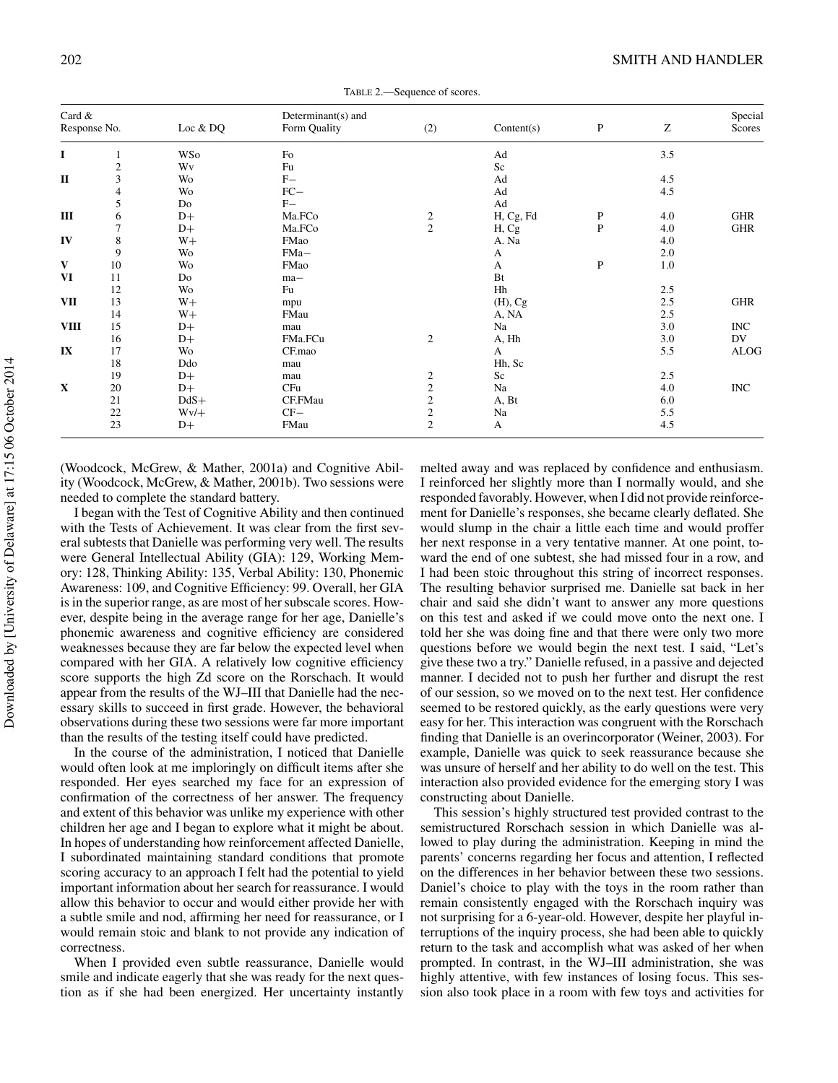| Card &<br>Response No. |                                       | Loc & DQ   | Determinant(s) and<br>Form Quality | (2)                     | Content(s)          | ${\bf P}$      | Z       | Special<br>Scores |
|------------------------|---------------------------------------|------------|------------------------------------|-------------------------|---------------------|----------------|---------|-------------------|
| $\bf{I}$               | $\mathbf{1}$                          | <b>WSo</b> | $\rm{Fo}$                          |                         | Ad                  |                | 3.5     |                   |
|                        | $\overline{c}$                        | Wv         | Fu                                 |                         | Sc                  |                |         |                   |
| $\mathbf{I}$           | $\overline{3}$                        | Wo         | $\mathrm{F}-$                      |                         | Ad                  |                | 4.5     |                   |
|                        | $\overline{4}$                        | Wo         | $FC-$                              |                         | $\operatorname{Ad}$ |                | 4.5     |                   |
|                        | 5                                     | Do         | $F-$                               |                         | Ad                  |                |         |                   |
| Ш                      | $\boldsymbol{6}$                      | $D+$       | Ma.FCo                             | $\overline{\mathbf{c}}$ | H, Cg, Fd           | P              | 4.0     | <b>GHR</b>        |
|                        | $\overline{7}$                        | $D+$       | Ma.FCo                             | $\overline{c}$          | H, Cg               | $\overline{P}$ | 4.0     | <b>GHR</b>        |
| IV                     | $\begin{array}{c} 8 \\ 9 \end{array}$ | $W+$       | FMao                               |                         | A. Na               |                | 4.0     |                   |
|                        |                                       | Wo         | FMa-                               |                         | A                   |                | 2.0     |                   |
| $\mathbf{V}$           | 10                                    | Wo         | FMao                               |                         | A                   | ${\bf P}$      | 1.0     |                   |
| VI                     | 11                                    | Do         | $ma-$                              |                         | Bt                  |                |         |                   |
|                        | 12                                    | Wo         | Fu                                 |                         | Hh                  |                | 2.5     |                   |
| VII                    | 13                                    | $W+$       | mpu                                |                         | $(H)$ , $Cg$        |                | $2.5\,$ | <b>GHR</b>        |
|                        | 14                                    | $W+$       | FMau                               |                         | A, NA               |                | 2.5     |                   |
| <b>VIII</b>            | 15                                    | $D+$       | mau                                |                         | Na                  |                | 3.0     | <b>INC</b>        |
|                        | 16                                    | $D+$       | FMa.FCu                            | $\sqrt{2}$              | A, Hh               |                | 3.0     | DV                |
| IX                     | 17                                    | Wo         | CF.mao                             |                         | A                   |                | 5.5     | <b>ALOG</b>       |
|                        | 18                                    | Ddo        | mau                                |                         | Hh, Sc              |                |         |                   |
|                        | 19                                    | $D+$       | mau                                | $\boldsymbol{2}$        | Sc                  |                | 2.5     |                   |
| $\mathbf X$            | 20                                    | $D+$       | CFu                                | $\mathfrak{2}$          | Na                  |                | 4.0     | <b>INC</b>        |
|                        | 21                                    | $DdS+$     | CF.FMau                            | $\overline{c}$          | A, Bt               |                | 6.0     |                   |
|                        | 22                                    | $Wv/+$     | $CF-$                              | $\boldsymbol{2}$        | Na                  |                | 5.5     |                   |
|                        | 23                                    | $D+$       | FMau                               | $\overline{c}$          | A                   |                | 4.5     |                   |

TABLE 2.—Sequence of scores.

(Woodcock, McGrew, & Mather, 2001a) and Cognitive Ability (Woodcock, McGrew, & Mather, 2001b). Two sessions were needed to complete the standard battery.

I began with the Test of Cognitive Ability and then continued with the Tests of Achievement. It was clear from the first several subtests that Danielle was performing very well. The results were General Intellectual Ability (GIA): 129, Working Memory: 128, Thinking Ability: 135, Verbal Ability: 130, Phonemic Awareness: 109, and Cognitive Efficiency: 99. Overall, her GIA is in the superior range, as are most of her subscale scores. However, despite being in the average range for her age, Danielle's phonemic awareness and cognitive efficiency are considered weaknesses because they are far below the expected level when compared with her GIA. A relatively low cognitive efficiency score supports the high Zd score on the Rorschach. It would appear from the results of the WJ–III that Danielle had the necessary skills to succeed in first grade. However, the behavioral observations during these two sessions were far more important than the results of the testing itself could have predicted.

In the course of the administration, I noticed that Danielle would often look at me imploringly on difficult items after she responded. Her eyes searched my face for an expression of confirmation of the correctness of her answer. The frequency and extent of this behavior was unlike my experience with other children her age and I began to explore what it might be about. In hopes of understanding how reinforcement affected Danielle, I subordinated maintaining standard conditions that promote scoring accuracy to an approach I felt had the potential to yield important information about her search for reassurance. I would allow this behavior to occur and would either provide her with a subtle smile and nod, affirming her need for reassurance, or I would remain stoic and blank to not provide any indication of correctness.

When I provided even subtle reassurance, Danielle would smile and indicate eagerly that she was ready for the next question as if she had been energized. Her uncertainty instantly

melted away and was replaced by confidence and enthusiasm. I reinforced her slightly more than I normally would, and she responded favorably. However, when I did not provide reinforcement for Danielle's responses, she became clearly deflated. She would slump in the chair a little each time and would proffer her next response in a very tentative manner. At one point, toward the end of one subtest, she had missed four in a row, and I had been stoic throughout this string of incorrect responses. The resulting behavior surprised me. Danielle sat back in her chair and said she didn't want to answer any more questions on this test and asked if we could move onto the next one. I told her she was doing fine and that there were only two more questions before we would begin the next test. I said, "Let's give these two a try." Danielle refused, in a passive and dejected manner. I decided not to push her further and disrupt the rest of our session, so we moved on to the next test. Her confidence seemed to be restored quickly, as the early questions were very easy for her. This interaction was congruent with the Rorschach finding that Danielle is an overincorporator (Weiner, 2003). For example, Danielle was quick to seek reassurance because she was unsure of herself and her ability to do well on the test. This interaction also provided evidence for the emerging story I was constructing about Danielle.

This session's highly structured test provided contrast to the semistructured Rorschach session in which Danielle was allowed to play during the administration. Keeping in mind the parents' concerns regarding her focus and attention, I reflected on the differences in her behavior between these two sessions. Daniel's choice to play with the toys in the room rather than remain consistently engaged with the Rorschach inquiry was not surprising for a 6-year-old. However, despite her playful interruptions of the inquiry process, she had been able to quickly return to the task and accomplish what was asked of her when prompted. In contrast, in the WJ–III administration, she was highly attentive, with few instances of losing focus. This session also took place in a room with few toys and activities for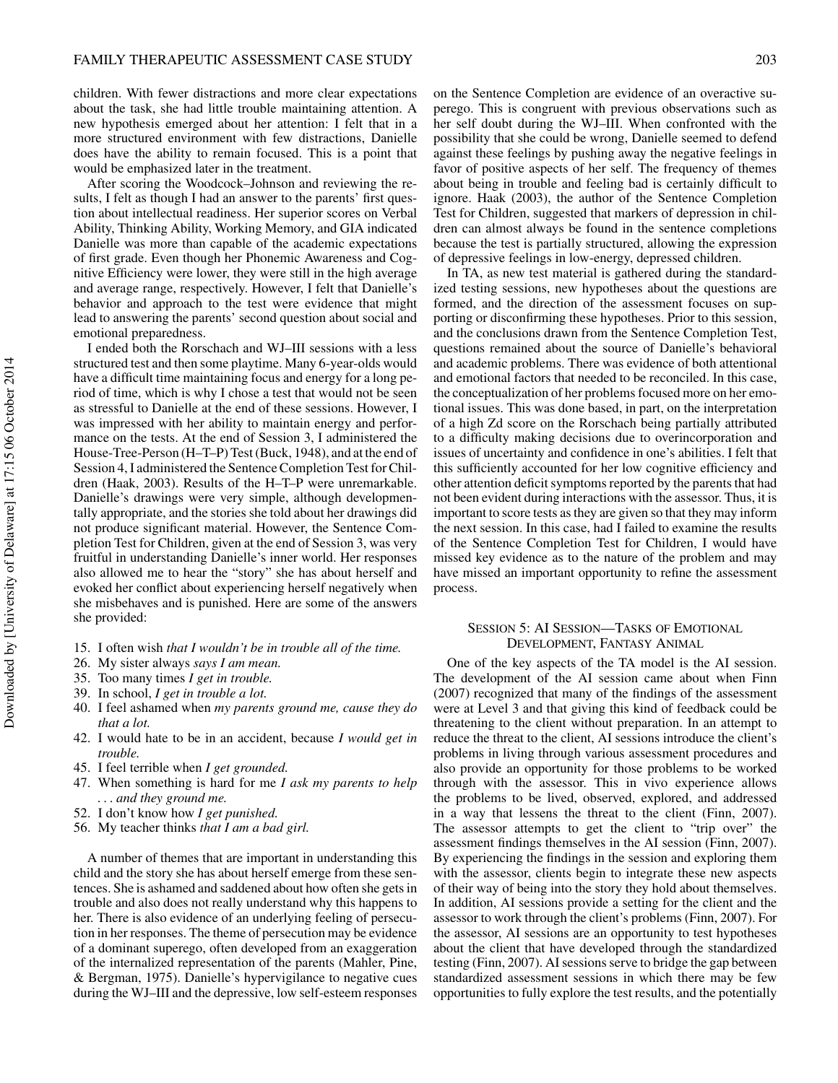children. With fewer distractions and more clear expectations about the task, she had little trouble maintaining attention. A new hypothesis emerged about her attention: I felt that in a more structured environment with few distractions, Danielle does have the ability to remain focused. This is a point that would be emphasized later in the treatment.

After scoring the Woodcock–Johnson and reviewing the results, I felt as though I had an answer to the parents' first question about intellectual readiness. Her superior scores on Verbal Ability, Thinking Ability, Working Memory, and GIA indicated Danielle was more than capable of the academic expectations of first grade. Even though her Phonemic Awareness and Cognitive Efficiency were lower, they were still in the high average and average range, respectively. However, I felt that Danielle's behavior and approach to the test were evidence that might lead to answering the parents' second question about social and emotional preparedness.

I ended both the Rorschach and WJ–III sessions with a less structured test and then some playtime. Many 6-year-olds would have a difficult time maintaining focus and energy for a long period of time, which is why I chose a test that would not be seen as stressful to Danielle at the end of these sessions. However, I was impressed with her ability to maintain energy and performance on the tests. At the end of Session 3, I administered the House-Tree-Person (H–T–P) Test (Buck, 1948), and at the end of Session 4, I administered the Sentence Completion Test for Children (Haak, 2003). Results of the H–T–P were unremarkable. Danielle's drawings were very simple, although developmentally appropriate, and the stories she told about her drawings did not produce significant material. However, the Sentence Completion Test for Children, given at the end of Session 3, was very fruitful in understanding Danielle's inner world. Her responses also allowed me to hear the "story" she has about herself and evoked her conflict about experiencing herself negatively when she misbehaves and is punished. Here are some of the answers she provided:

- 15. I often wish *that I wouldn't be in trouble all of the time.*
- 26. My sister always *says I am mean.*
- 35. Too many times *I get in trouble.*
- 39. In school, *I get in trouble a lot.*
- 40. I feel ashamed when *my parents ground me, cause they do that a lot.*
- 42. I would hate to be in an accident, because *I would get in trouble.*
- 45. I feel terrible when *I get grounded.*
- 47. When something is hard for me *I ask my parents to help . . . and they ground me.*
- 52. I don't know how *I get punished.*
- 56. My teacher thinks *that I am a bad girl.*

A number of themes that are important in understanding this child and the story she has about herself emerge from these sentences. She is ashamed and saddened about how often she gets in trouble and also does not really understand why this happens to her. There is also evidence of an underlying feeling of persecution in her responses. The theme of persecution may be evidence of a dominant superego, often developed from an exaggeration of the internalized representation of the parents (Mahler, Pine, & Bergman, 1975). Danielle's hypervigilance to negative cues during the WJ–III and the depressive, low self-esteem responses

on the Sentence Completion are evidence of an overactive superego. This is congruent with previous observations such as her self doubt during the WJ–III. When confronted with the possibility that she could be wrong, Danielle seemed to defend against these feelings by pushing away the negative feelings in favor of positive aspects of her self. The frequency of themes about being in trouble and feeling bad is certainly difficult to ignore. Haak (2003), the author of the Sentence Completion Test for Children, suggested that markers of depression in children can almost always be found in the sentence completions because the test is partially structured, allowing the expression of depressive feelings in low-energy, depressed children.

In TA, as new test material is gathered during the standardized testing sessions, new hypotheses about the questions are formed, and the direction of the assessment focuses on supporting or disconfirming these hypotheses. Prior to this session, and the conclusions drawn from the Sentence Completion Test, questions remained about the source of Danielle's behavioral and academic problems. There was evidence of both attentional and emotional factors that needed to be reconciled. In this case, the conceptualization of her problems focused more on her emotional issues. This was done based, in part, on the interpretation of a high Zd score on the Rorschach being partially attributed to a difficulty making decisions due to overincorporation and issues of uncertainty and confidence in one's abilities. I felt that this sufficiently accounted for her low cognitive efficiency and other attention deficit symptoms reported by the parents that had not been evident during interactions with the assessor. Thus, it is important to score tests as they are given so that they may inform the next session. In this case, had I failed to examine the results of the Sentence Completion Test for Children, I would have missed key evidence as to the nature of the problem and may have missed an important opportunity to refine the assessment process.

# SESSION 5: AI SESSION—TASKS OF EMOTIONAL DEVELOPMENT, FANTASY ANIMAL

One of the key aspects of the TA model is the AI session. The development of the AI session came about when Finn (2007) recognized that many of the findings of the assessment were at Level 3 and that giving this kind of feedback could be threatening to the client without preparation. In an attempt to reduce the threat to the client, AI sessions introduce the client's problems in living through various assessment procedures and also provide an opportunity for those problems to be worked through with the assessor. This in vivo experience allows the problems to be lived, observed, explored, and addressed in a way that lessens the threat to the client (Finn, 2007). The assessor attempts to get the client to "trip over" the assessment findings themselves in the AI session (Finn, 2007). By experiencing the findings in the session and exploring them with the assessor, clients begin to integrate these new aspects of their way of being into the story they hold about themselves. In addition, AI sessions provide a setting for the client and the assessor to work through the client's problems (Finn, 2007). For the assessor, AI sessions are an opportunity to test hypotheses about the client that have developed through the standardized testing (Finn, 2007). AI sessions serve to bridge the gap between standardized assessment sessions in which there may be few opportunities to fully explore the test results, and the potentially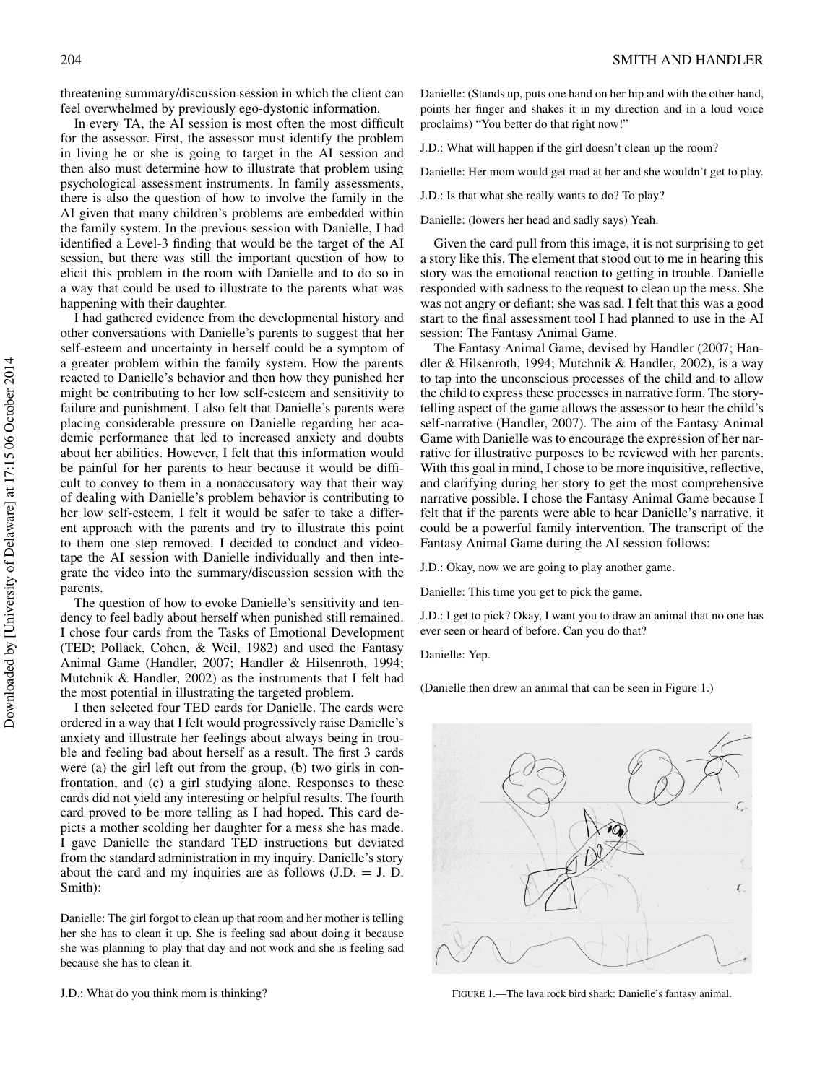threatening summary/discussion session in which the client can feel overwhelmed by previously ego-dystonic information.

In every TA, the AI session is most often the most difficult for the assessor. First, the assessor must identify the problem in living he or she is going to target in the AI session and then also must determine how to illustrate that problem using psychological assessment instruments. In family assessments, there is also the question of how to involve the family in the AI given that many children's problems are embedded within the family system. In the previous session with Danielle, I had identified a Level-3 finding that would be the target of the AI session, but there was still the important question of how to elicit this problem in the room with Danielle and to do so in a way that could be used to illustrate to the parents what was happening with their daughter.

I had gathered evidence from the developmental history and other conversations with Danielle's parents to suggest that her self-esteem and uncertainty in herself could be a symptom of a greater problem within the family system. How the parents reacted to Danielle's behavior and then how they punished her might be contributing to her low self-esteem and sensitivity to failure and punishment. I also felt that Danielle's parents were placing considerable pressure on Danielle regarding her academic performance that led to increased anxiety and doubts about her abilities. However, I felt that this information would be painful for her parents to hear because it would be difficult to convey to them in a nonaccusatory way that their way of dealing with Danielle's problem behavior is contributing to her low self-esteem. I felt it would be safer to take a different approach with the parents and try to illustrate this point to them one step removed. I decided to conduct and videotape the AI session with Danielle individually and then integrate the video into the summary/discussion session with the parents.

The question of how to evoke Danielle's sensitivity and tendency to feel badly about herself when punished still remained. I chose four cards from the Tasks of Emotional Development (TED; Pollack, Cohen, & Weil, 1982) and used the Fantasy Animal Game (Handler, 2007; Handler & Hilsenroth, 1994; Mutchnik & Handler, 2002) as the instruments that I felt had the most potential in illustrating the targeted problem.

I then selected four TED cards for Danielle. The cards were ordered in a way that I felt would progressively raise Danielle's anxiety and illustrate her feelings about always being in trouble and feeling bad about herself as a result. The first 3 cards were (a) the girl left out from the group, (b) two girls in confrontation, and (c) a girl studying alone. Responses to these cards did not yield any interesting or helpful results. The fourth card proved to be more telling as I had hoped. This card depicts a mother scolding her daughter for a mess she has made. I gave Danielle the standard TED instructions but deviated from the standard administration in my inquiry. Danielle's story about the card and my inquiries are as follows  $(J.D. = J.D.$ Smith):

Danielle: The girl forgot to clean up that room and her mother is telling her she has to clean it up. She is feeling sad about doing it because she was planning to play that day and not work and she is feeling sad because she has to clean it.

J.D.: What do you think mom is thinking?

Danielle: (Stands up, puts one hand on her hip and with the other hand, points her finger and shakes it in my direction and in a loud voice proclaims) "You better do that right now!"

J.D.: What will happen if the girl doesn't clean up the room?

Danielle: Her mom would get mad at her and she wouldn't get to play.

J.D.: Is that what she really wants to do? To play?

Danielle: (lowers her head and sadly says) Yeah.

Given the card pull from this image, it is not surprising to get a story like this. The element that stood out to me in hearing this story was the emotional reaction to getting in trouble. Danielle responded with sadness to the request to clean up the mess. She was not angry or defiant; she was sad. I felt that this was a good start to the final assessment tool I had planned to use in the AI session: The Fantasy Animal Game.

The Fantasy Animal Game, devised by Handler (2007; Handler & Hilsenroth, 1994; Mutchnik & Handler, 2002), is a way to tap into the unconscious processes of the child and to allow the child to express these processes in narrative form. The storytelling aspect of the game allows the assessor to hear the child's self-narrative (Handler, 2007). The aim of the Fantasy Animal Game with Danielle was to encourage the expression of her narrative for illustrative purposes to be reviewed with her parents. With this goal in mind, I chose to be more inquisitive, reflective, and clarifying during her story to get the most comprehensive narrative possible. I chose the Fantasy Animal Game because I felt that if the parents were able to hear Danielle's narrative, it could be a powerful family intervention. The transcript of the Fantasy Animal Game during the AI session follows:

J.D.: Okay, now we are going to play another game.

Danielle: This time you get to pick the game.

J.D.: I get to pick? Okay, I want you to draw an animal that no one has ever seen or heard of before. Can you do that?

Danielle: Yep.

(Danielle then drew an animal that can be seen in Figure 1.)



FIGURE 1.—The lava rock bird shark: Danielle's fantasy animal.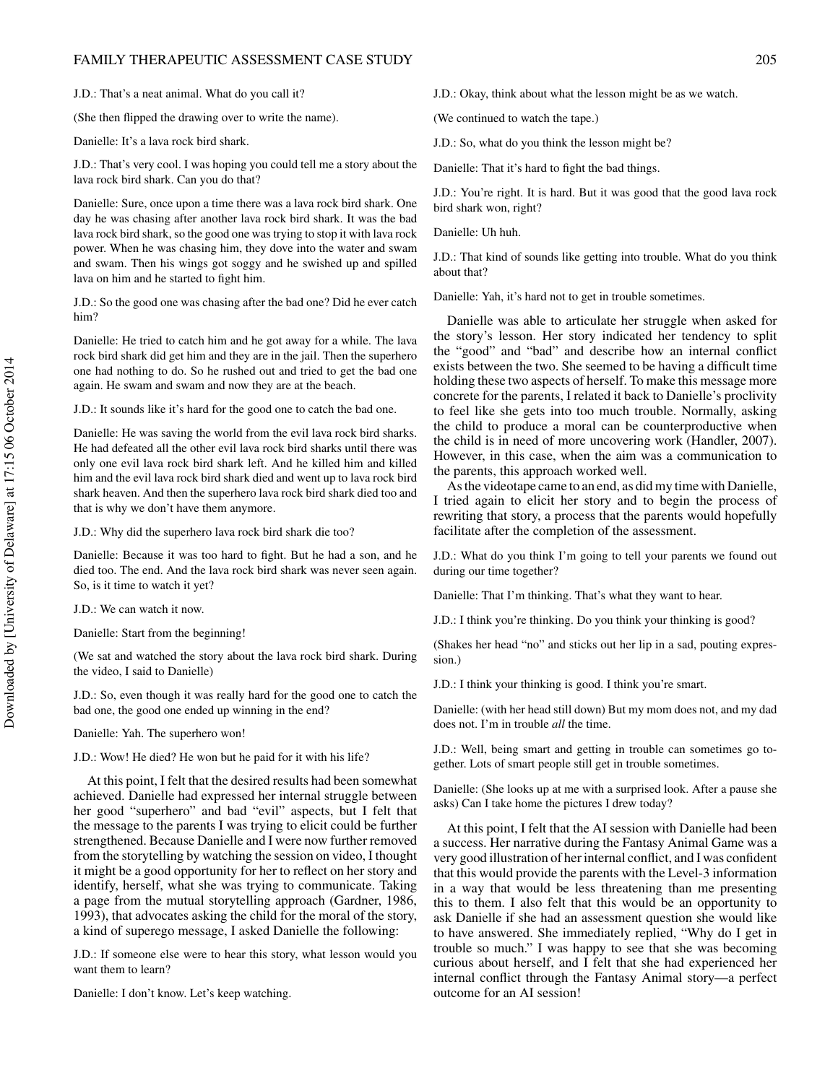# FAMILY THERAPEUTIC ASSESSMENT CASE STUDY 205

J.D.: That's a neat animal. What do you call it?

(She then flipped the drawing over to write the name).

Danielle: It's a lava rock bird shark.

J.D.: That's very cool. I was hoping you could tell me a story about the lava rock bird shark. Can you do that?

Danielle: Sure, once upon a time there was a lava rock bird shark. One day he was chasing after another lava rock bird shark. It was the bad lava rock bird shark, so the good one was trying to stop it with lava rock power. When he was chasing him, they dove into the water and swam and swam. Then his wings got soggy and he swished up and spilled lava on him and he started to fight him.

J.D.: So the good one was chasing after the bad one? Did he ever catch him?

Danielle: He tried to catch him and he got away for a while. The lava rock bird shark did get him and they are in the jail. Then the superhero one had nothing to do. So he rushed out and tried to get the bad one again. He swam and swam and now they are at the beach.

J.D.: It sounds like it's hard for the good one to catch the bad one.

Danielle: He was saving the world from the evil lava rock bird sharks. He had defeated all the other evil lava rock bird sharks until there was only one evil lava rock bird shark left. And he killed him and killed him and the evil lava rock bird shark died and went up to lava rock bird shark heaven. And then the superhero lava rock bird shark died too and that is why we don't have them anymore.

J.D.: Why did the superhero lava rock bird shark die too?

Danielle: Because it was too hard to fight. But he had a son, and he died too. The end. And the lava rock bird shark was never seen again. So, is it time to watch it yet?

J.D.: We can watch it now.

Danielle: Start from the beginning!

(We sat and watched the story about the lava rock bird shark. During the video, I said to Danielle)

J.D.: So, even though it was really hard for the good one to catch the bad one, the good one ended up winning in the end?

Danielle: Yah. The superhero won!

J.D.: Wow! He died? He won but he paid for it with his life?

At this point, I felt that the desired results had been somewhat achieved. Danielle had expressed her internal struggle between her good "superhero" and bad "evil" aspects, but I felt that the message to the parents I was trying to elicit could be further strengthened. Because Danielle and I were now further removed from the storytelling by watching the session on video, I thought it might be a good opportunity for her to reflect on her story and identify, herself, what she was trying to communicate. Taking a page from the mutual storytelling approach (Gardner, 1986, 1993), that advocates asking the child for the moral of the story, a kind of superego message, I asked Danielle the following:

J.D.: If someone else were to hear this story, what lesson would you want them to learn?

Danielle: I don't know. Let's keep watching.

J.D.: Okay, think about what the lesson might be as we watch.

(We continued to watch the tape.)

J.D.: So, what do you think the lesson might be?

Danielle: That it's hard to fight the bad things.

J.D.: You're right. It is hard. But it was good that the good lava rock bird shark won, right?

Danielle: Uh huh.

J.D.: That kind of sounds like getting into trouble. What do you think about that?

Danielle: Yah, it's hard not to get in trouble sometimes.

Danielle was able to articulate her struggle when asked for the story's lesson. Her story indicated her tendency to split the "good" and "bad" and describe how an internal conflict exists between the two. She seemed to be having a difficult time holding these two aspects of herself. To make this message more concrete for the parents, I related it back to Danielle's proclivity to feel like she gets into too much trouble. Normally, asking the child to produce a moral can be counterproductive when the child is in need of more uncovering work (Handler, 2007). However, in this case, when the aim was a communication to the parents, this approach worked well.

As the videotape came to an end, as did my time with Danielle, I tried again to elicit her story and to begin the process of rewriting that story, a process that the parents would hopefully facilitate after the completion of the assessment.

J.D.: What do you think I'm going to tell your parents we found out during our time together?

Danielle: That I'm thinking. That's what they want to hear.

J.D.: I think you're thinking. Do you think your thinking is good?

(Shakes her head "no" and sticks out her lip in a sad, pouting expression.)

J.D.: I think your thinking is good. I think you're smart.

Danielle: (with her head still down) But my mom does not, and my dad does not. I'm in trouble *all* the time.

J.D.: Well, being smart and getting in trouble can sometimes go together. Lots of smart people still get in trouble sometimes.

Danielle: (She looks up at me with a surprised look. After a pause she asks) Can I take home the pictures I drew today?

At this point, I felt that the AI session with Danielle had been a success. Her narrative during the Fantasy Animal Game was a very good illustration of her internal conflict, and I was confident that this would provide the parents with the Level-3 information in a way that would be less threatening than me presenting this to them. I also felt that this would be an opportunity to ask Danielle if she had an assessment question she would like to have answered. She immediately replied, "Why do I get in trouble so much." I was happy to see that she was becoming curious about herself, and I felt that she had experienced her internal conflict through the Fantasy Animal story—a perfect outcome for an AI session!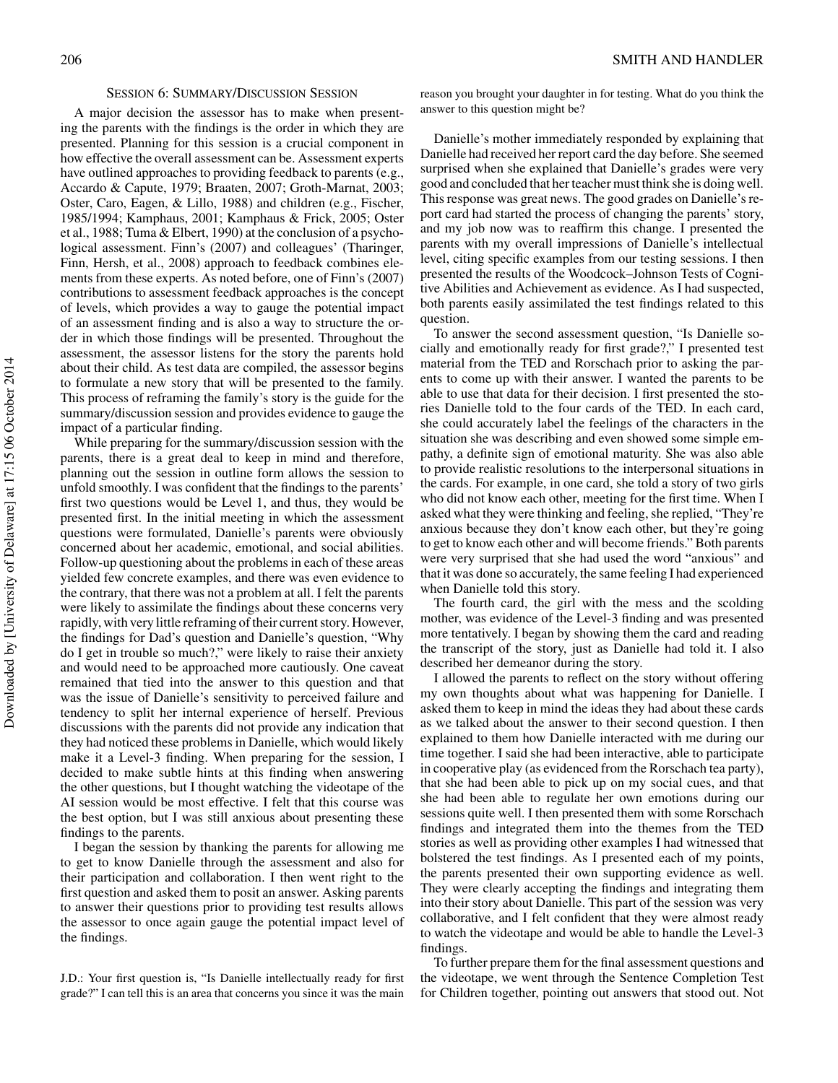#### SESSION 6: SUMMARY/DISCUSSION SESSION

A major decision the assessor has to make when presenting the parents with the findings is the order in which they are presented. Planning for this session is a crucial component in how effective the overall assessment can be. Assessment experts have outlined approaches to providing feedback to parents (e.g., Accardo & Capute, 1979; Braaten, 2007; Groth-Marnat, 2003; Oster, Caro, Eagen, & Lillo, 1988) and children (e.g., Fischer, 1985/1994; Kamphaus, 2001; Kamphaus & Frick, 2005; Oster et al., 1988; Tuma & Elbert, 1990) at the conclusion of a psychological assessment. Finn's (2007) and colleagues' (Tharinger, Finn, Hersh, et al., 2008) approach to feedback combines elements from these experts. As noted before, one of Finn's (2007) contributions to assessment feedback approaches is the concept of levels, which provides a way to gauge the potential impact of an assessment finding and is also a way to structure the order in which those findings will be presented. Throughout the assessment, the assessor listens for the story the parents hold about their child. As test data are compiled, the assessor begins to formulate a new story that will be presented to the family. This process of reframing the family's story is the guide for the summary/discussion session and provides evidence to gauge the impact of a particular finding.

While preparing for the summary/discussion session with the parents, there is a great deal to keep in mind and therefore, planning out the session in outline form allows the session to unfold smoothly. I was confident that the findings to the parents' first two questions would be Level 1, and thus, they would be presented first. In the initial meeting in which the assessment questions were formulated, Danielle's parents were obviously concerned about her academic, emotional, and social abilities. Follow-up questioning about the problems in each of these areas yielded few concrete examples, and there was even evidence to the contrary, that there was not a problem at all. I felt the parents were likely to assimilate the findings about these concerns very rapidly, with very little reframing of their current story. However, the findings for Dad's question and Danielle's question, "Why do I get in trouble so much?," were likely to raise their anxiety and would need to be approached more cautiously. One caveat remained that tied into the answer to this question and that was the issue of Danielle's sensitivity to perceived failure and tendency to split her internal experience of herself. Previous discussions with the parents did not provide any indication that they had noticed these problems in Danielle, which would likely make it a Level-3 finding. When preparing for the session, I decided to make subtle hints at this finding when answering the other questions, but I thought watching the videotape of the AI session would be most effective. I felt that this course was the best option, but I was still anxious about presenting these findings to the parents.

I began the session by thanking the parents for allowing me to get to know Danielle through the assessment and also for their participation and collaboration. I then went right to the first question and asked them to posit an answer. Asking parents to answer their questions prior to providing test results allows the assessor to once again gauge the potential impact level of the findings.

J.D.: Your first question is, "Is Danielle intellectually ready for first grade?" I can tell this is an area that concerns you since it was the main reason you brought your daughter in for testing. What do you think the answer to this question might be?

Danielle's mother immediately responded by explaining that Danielle had received her report card the day before. She seemed surprised when she explained that Danielle's grades were very good and concluded that her teacher must think she is doing well. This response was great news. The good grades on Danielle's report card had started the process of changing the parents' story, and my job now was to reaffirm this change. I presented the parents with my overall impressions of Danielle's intellectual level, citing specific examples from our testing sessions. I then presented the results of the Woodcock–Johnson Tests of Cognitive Abilities and Achievement as evidence. As I had suspected, both parents easily assimilated the test findings related to this question.

To answer the second assessment question, "Is Danielle socially and emotionally ready for first grade?," I presented test material from the TED and Rorschach prior to asking the parents to come up with their answer. I wanted the parents to be able to use that data for their decision. I first presented the stories Danielle told to the four cards of the TED. In each card, she could accurately label the feelings of the characters in the situation she was describing and even showed some simple empathy, a definite sign of emotional maturity. She was also able to provide realistic resolutions to the interpersonal situations in the cards. For example, in one card, she told a story of two girls who did not know each other, meeting for the first time. When I asked what they were thinking and feeling, she replied, "They're anxious because they don't know each other, but they're going to get to know each other and will become friends." Both parents were very surprised that she had used the word "anxious" and that it was done so accurately, the same feeling I had experienced when Danielle told this story.

The fourth card, the girl with the mess and the scolding mother, was evidence of the Level-3 finding and was presented more tentatively. I began by showing them the card and reading the transcript of the story, just as Danielle had told it. I also described her demeanor during the story.

I allowed the parents to reflect on the story without offering my own thoughts about what was happening for Danielle. I asked them to keep in mind the ideas they had about these cards as we talked about the answer to their second question. I then explained to them how Danielle interacted with me during our time together. I said she had been interactive, able to participate in cooperative play (as evidenced from the Rorschach tea party), that she had been able to pick up on my social cues, and that she had been able to regulate her own emotions during our sessions quite well. I then presented them with some Rorschach findings and integrated them into the themes from the TED stories as well as providing other examples I had witnessed that bolstered the test findings. As I presented each of my points, the parents presented their own supporting evidence as well. They were clearly accepting the findings and integrating them into their story about Danielle. This part of the session was very collaborative, and I felt confident that they were almost ready to watch the videotape and would be able to handle the Level-3 findings.

To further prepare them for the final assessment questions and the videotape, we went through the Sentence Completion Test for Children together, pointing out answers that stood out. Not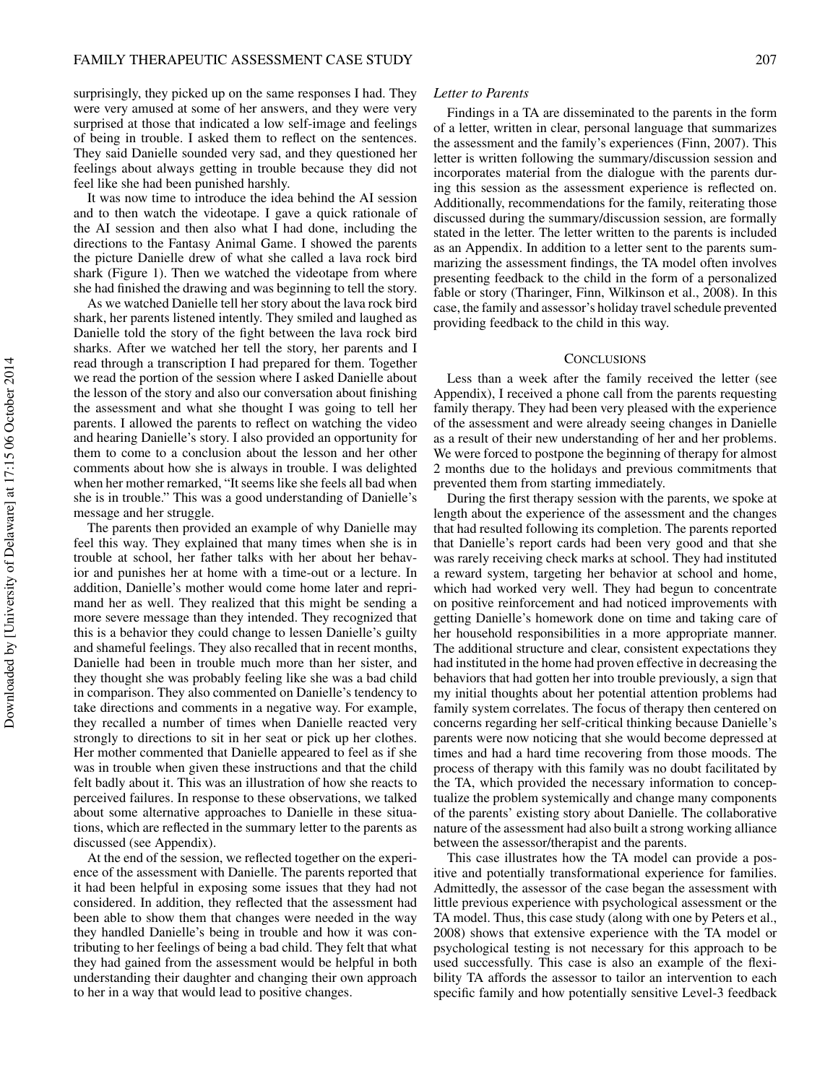surprisingly, they picked up on the same responses I had. They were very amused at some of her answers, and they were very surprised at those that indicated a low self-image and feelings of being in trouble. I asked them to reflect on the sentences. They said Danielle sounded very sad, and they questioned her feelings about always getting in trouble because they did not feel like she had been punished harshly.

It was now time to introduce the idea behind the AI session and to then watch the videotape. I gave a quick rationale of the AI session and then also what I had done, including the directions to the Fantasy Animal Game. I showed the parents the picture Danielle drew of what she called a lava rock bird shark (Figure 1). Then we watched the videotape from where she had finished the drawing and was beginning to tell the story.

As we watched Danielle tell her story about the lava rock bird shark, her parents listened intently. They smiled and laughed as Danielle told the story of the fight between the lava rock bird sharks. After we watched her tell the story, her parents and I read through a transcription I had prepared for them. Together we read the portion of the session where I asked Danielle about the lesson of the story and also our conversation about finishing the assessment and what she thought I was going to tell her parents. I allowed the parents to reflect on watching the video and hearing Danielle's story. I also provided an opportunity for them to come to a conclusion about the lesson and her other comments about how she is always in trouble. I was delighted when her mother remarked, "It seems like she feels all bad when she is in trouble." This was a good understanding of Danielle's message and her struggle.

The parents then provided an example of why Danielle may feel this way. They explained that many times when she is in trouble at school, her father talks with her about her behavior and punishes her at home with a time-out or a lecture. In addition, Danielle's mother would come home later and reprimand her as well. They realized that this might be sending a more severe message than they intended. They recognized that this is a behavior they could change to lessen Danielle's guilty and shameful feelings. They also recalled that in recent months, Danielle had been in trouble much more than her sister, and they thought she was probably feeling like she was a bad child in comparison. They also commented on Danielle's tendency to take directions and comments in a negative way. For example, they recalled a number of times when Danielle reacted very strongly to directions to sit in her seat or pick up her clothes. Her mother commented that Danielle appeared to feel as if she was in trouble when given these instructions and that the child felt badly about it. This was an illustration of how she reacts to perceived failures. In response to these observations, we talked about some alternative approaches to Danielle in these situations, which are reflected in the summary letter to the parents as discussed (see Appendix).

At the end of the session, we reflected together on the experience of the assessment with Danielle. The parents reported that it had been helpful in exposing some issues that they had not considered. In addition, they reflected that the assessment had been able to show them that changes were needed in the way they handled Danielle's being in trouble and how it was contributing to her feelings of being a bad child. They felt that what they had gained from the assessment would be helpful in both understanding their daughter and changing their own approach to her in a way that would lead to positive changes.

#### *Letter to Parents*

Findings in a TA are disseminated to the parents in the form of a letter, written in clear, personal language that summarizes the assessment and the family's experiences (Finn, 2007). This letter is written following the summary/discussion session and incorporates material from the dialogue with the parents during this session as the assessment experience is reflected on. Additionally, recommendations for the family, reiterating those discussed during the summary/discussion session, are formally stated in the letter. The letter written to the parents is included as an Appendix. In addition to a letter sent to the parents summarizing the assessment findings, the TA model often involves presenting feedback to the child in the form of a personalized fable or story (Tharinger, Finn, Wilkinson et al., 2008). In this case, the family and assessor's holiday travel schedule prevented providing feedback to the child in this way.

# **CONCLUSIONS**

Less than a week after the family received the letter (see Appendix), I received a phone call from the parents requesting family therapy. They had been very pleased with the experience of the assessment and were already seeing changes in Danielle as a result of their new understanding of her and her problems. We were forced to postpone the beginning of therapy for almost 2 months due to the holidays and previous commitments that prevented them from starting immediately.

During the first therapy session with the parents, we spoke at length about the experience of the assessment and the changes that had resulted following its completion. The parents reported that Danielle's report cards had been very good and that she was rarely receiving check marks at school. They had instituted a reward system, targeting her behavior at school and home, which had worked very well. They had begun to concentrate on positive reinforcement and had noticed improvements with getting Danielle's homework done on time and taking care of her household responsibilities in a more appropriate manner. The additional structure and clear, consistent expectations they had instituted in the home had proven effective in decreasing the behaviors that had gotten her into trouble previously, a sign that my initial thoughts about her potential attention problems had family system correlates. The focus of therapy then centered on concerns regarding her self-critical thinking because Danielle's parents were now noticing that she would become depressed at times and had a hard time recovering from those moods. The process of therapy with this family was no doubt facilitated by the TA, which provided the necessary information to conceptualize the problem systemically and change many components of the parents' existing story about Danielle. The collaborative nature of the assessment had also built a strong working alliance between the assessor/therapist and the parents.

This case illustrates how the TA model can provide a positive and potentially transformational experience for families. Admittedly, the assessor of the case began the assessment with little previous experience with psychological assessment or the TA model. Thus, this case study (along with one by Peters et al., 2008) shows that extensive experience with the TA model or psychological testing is not necessary for this approach to be used successfully. This case is also an example of the flexibility TA affords the assessor to tailor an intervention to each specific family and how potentially sensitive Level-3 feedback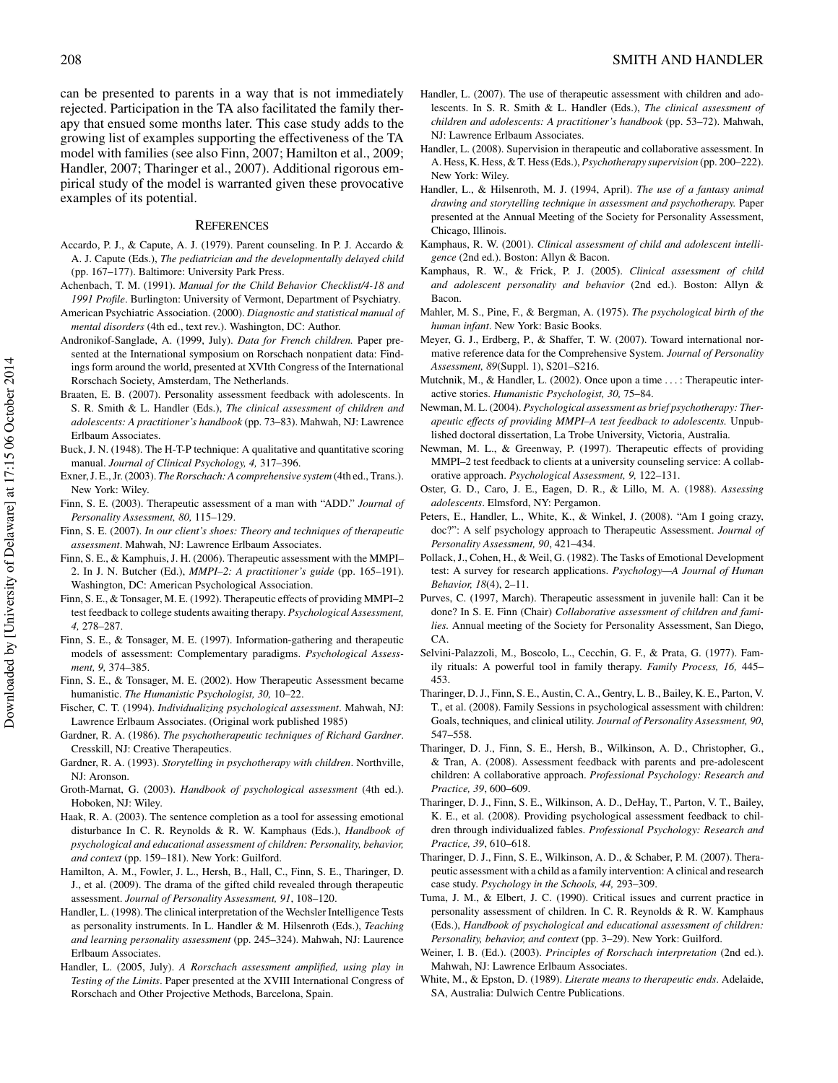can be presented to parents in a way that is not immediately rejected. Participation in the TA also facilitated the family therapy that ensued some months later. This case study adds to the growing list of examples supporting the effectiveness of the TA model with families (see also Finn, 2007; Hamilton et al., 2009; Handler, 2007; Tharinger et al., 2007). Additional rigorous empirical study of the model is warranted given these provocative examples of its potential.

# **REFERENCES**

- Accardo, P. J., & Capute, A. J. (1979). Parent counseling. In P. J. Accardo & A. J. Capute (Eds.), *The pediatrician and the developmentally delayed child* (pp. 167–177). Baltimore: University Park Press.
- Achenbach, T. M. (1991). *Manual for the Child Behavior Checklist/4-18 and 1991 Profile*. Burlington: University of Vermont, Department of Psychiatry.
- American Psychiatric Association. (2000). *Diagnostic and statistical manual of mental disorders* (4th ed., text rev.). Washington, DC: Author.
- Andronikof-Sanglade, A. (1999, July). *Data for French children.* Paper presented at the International symposium on Rorschach nonpatient data: Findings form around the world, presented at XVIth Congress of the International Rorschach Society, Amsterdam, The Netherlands.
- Braaten, E. B. (2007). Personality assessment feedback with adolescents. In S. R. Smith & L. Handler (Eds.), *The clinical assessment of children and adolescents: A practitioner's handbook* (pp. 73–83). Mahwah, NJ: Lawrence Erlbaum Associates.
- Buck, J. N. (1948). The H-T-P technique: A qualitative and quantitative scoring manual. *Journal of Clinical Psychology, 4,* 317–396.
- Exner, J. E., Jr. (2003). *The Rorschach: A comprehensive system* (4th ed., Trans.). New York: Wiley.
- Finn, S. E. (2003). Therapeutic assessment of a man with "ADD." *Journal of Personality Assessment, 80,* 115–129.
- Finn, S. E. (2007). *In our client's shoes: Theory and techniques of therapeutic assessment*. Mahwah, NJ: Lawrence Erlbaum Associates.
- Finn, S. E., & Kamphuis, J. H. (2006). Therapeutic assessment with the MMPI– 2. In J. N. Butcher (Ed.), *MMPI–2: A practitioner's guide* (pp. 165–191). Washington, DC: American Psychological Association.
- Finn, S. E., & Tonsager, M. E. (1992). Therapeutic effects of providing MMPI–2 test feedback to college students awaiting therapy. *Psychological Assessment, 4,* 278–287.
- Finn, S. E., & Tonsager, M. E. (1997). Information-gathering and therapeutic models of assessment: Complementary paradigms. *Psychological Assessment, 9,* 374–385.
- Finn, S. E., & Tonsager, M. E. (2002). How Therapeutic Assessment became humanistic. *The Humanistic Psychologist, 30,* 10–22.
- Fischer, C. T. (1994). *Individualizing psychological assessment*. Mahwah, NJ: Lawrence Erlbaum Associates. (Original work published 1985)
- Gardner, R. A. (1986). *The psychotherapeutic techniques of Richard Gardner*. Cresskill, NJ: Creative Therapeutics.
- Gardner, R. A. (1993). *Storytelling in psychotherapy with children*. Northville, NJ: Aronson.
- Groth-Marnat, G. (2003). *Handbook of psychological assessment* (4th ed.). Hoboken, NJ: Wiley.
- Haak, R. A. (2003). The sentence completion as a tool for assessing emotional disturbance In C. R. Reynolds & R. W. Kamphaus (Eds.), *Handbook of psychological and educational assessment of children: Personality, behavior, and context* (pp. 159–181). New York: Guilford.
- Hamilton, A. M., Fowler, J. L., Hersh, B., Hall, C., Finn, S. E., Tharinger, D. J., et al. (2009). The drama of the gifted child revealed through therapeutic assessment. *Journal of Personality Assessment, 91*, 108–120.
- Handler, L. (1998). The clinical interpretation of the Wechsler Intelligence Tests as personality instruments. In L. Handler & M. Hilsenroth (Eds.), *Teaching and learning personality assessment* (pp. 245–324). Mahwah, NJ: Laurence Erlbaum Associates.
- Handler, L. (2005, July). *A Rorschach assessment amplified, using play in Testing of the Limits*. Paper presented at the XVIII International Congress of Rorschach and Other Projective Methods, Barcelona, Spain.
- Handler, L. (2007). The use of therapeutic assessment with children and adolescents. In S. R. Smith & L. Handler (Eds.), *The clinical assessment of children and adolescents: A practitioner's handbook* (pp. 53–72). Mahwah, NJ: Lawrence Erlbaum Associates.
- Handler, L. (2008). Supervision in therapeutic and collaborative assessment. In A. Hess, K. Hess, & T. Hess (Eds.), *Psychotherapy supervision* (pp. 200–222). New York: Wiley.
- Handler, L., & Hilsenroth, M. J. (1994, April). *The use of a fantasy animal drawing and storytelling technique in assessment and psychotherapy.* Paper presented at the Annual Meeting of the Society for Personality Assessment, Chicago, Illinois.
- Kamphaus, R. W. (2001). *Clinical assessment of child and adolescent intelligence* (2nd ed.). Boston: Allyn & Bacon.
- Kamphaus, R. W., & Frick, P. J. (2005). *Clinical assessment of child and adolescent personality and behavior* (2nd ed.). Boston: Allyn & Bacon.
- Mahler, M. S., Pine, F., & Bergman, A. (1975). *The psychological birth of the human infant*. New York: Basic Books.
- Meyer, G. J., Erdberg, P., & Shaffer, T. W. (2007). Toward international normative reference data for the Comprehensive System. *Journal of Personality Assessment, 89*(Suppl. 1), S201–S216.
- Mutchnik, M., & Handler, L. (2002). Once upon a time . . . : Therapeutic interactive stories. *Humanistic Psychologist, 30,* 75–84.
- Newman, M. L. (2004). *Psychological assessment as brief psychotherapy: Therapeutic effects of providing MMPI–A test feedback to adolescents.* Unpublished doctoral dissertation, La Trobe University, Victoria, Australia.
- Newman, M. L., & Greenway, P. (1997). Therapeutic effects of providing MMPI–2 test feedback to clients at a university counseling service: A collaborative approach. *Psychological Assessment, 9,* 122–131.
- Oster, G. D., Caro, J. E., Eagen, D. R., & Lillo, M. A. (1988). *Assessing adolescents*. Elmsford, NY: Pergamon.
- Peters, E., Handler, L., White, K., & Winkel, J. (2008). "Am I going crazy, doc?": A self psychology approach to Therapeutic Assessment. *Journal of Personality Assessment, 90*, 421–434.
- Pollack, J., Cohen, H., & Weil, G. (1982). The Tasks of Emotional Development test: A survey for research applications. *Psychology—A Journal of Human Behavior, 18*(4), 2–11.
- Purves, C. (1997, March). Therapeutic assessment in juvenile hall: Can it be done? In S. E. Finn (Chair) *Collaborative assessment of children and families.* Annual meeting of the Society for Personality Assessment, San Diego, CA.
- Selvini-Palazzoli, M., Boscolo, L., Cecchin, G. F., & Prata, G. (1977). Family rituals: A powerful tool in family therapy. *Family Process, 16,* 445– 453.
- Tharinger, D. J., Finn, S. E., Austin, C. A., Gentry, L. B., Bailey, K. E., Parton, V. T., et al. (2008). Family Sessions in psychological assessment with children: Goals, techniques, and clinical utility. *Journal of Personality Assessment, 90*, 547–558.
- Tharinger, D. J., Finn, S. E., Hersh, B., Wilkinson, A. D., Christopher, G., & Tran, A. (2008). Assessment feedback with parents and pre-adolescent children: A collaborative approach. *Professional Psychology: Research and Practice, 39*, 600–609.
- Tharinger, D. J., Finn, S. E., Wilkinson, A. D., DeHay, T., Parton, V. T., Bailey, K. E., et al. (2008). Providing psychological assessment feedback to children through individualized fables. *Professional Psychology: Research and Practice, 39*, 610–618.
- Tharinger, D. J., Finn, S. E., Wilkinson, A. D., & Schaber, P. M. (2007). Therapeutic assessment with a child as a family intervention: A clinical and research case study. *Psychology in the Schools, 44,* 293–309.
- Tuma, J. M., & Elbert, J. C. (1990). Critical issues and current practice in personality assessment of children. In C. R. Reynolds & R. W. Kamphaus (Eds.), *Handbook of psychological and educational assessment of children: Personality, behavior, and context* (pp. 3–29). New York: Guilford.
- Weiner, I. B. (Ed.). (2003). *Principles of Rorschach interpretation* (2nd ed.). Mahwah, NJ: Lawrence Erlbaum Associates.
- White, M., & Epston, D. (1989). *Literate means to therapeutic ends*. Adelaide, SA, Australia: Dulwich Centre Publications.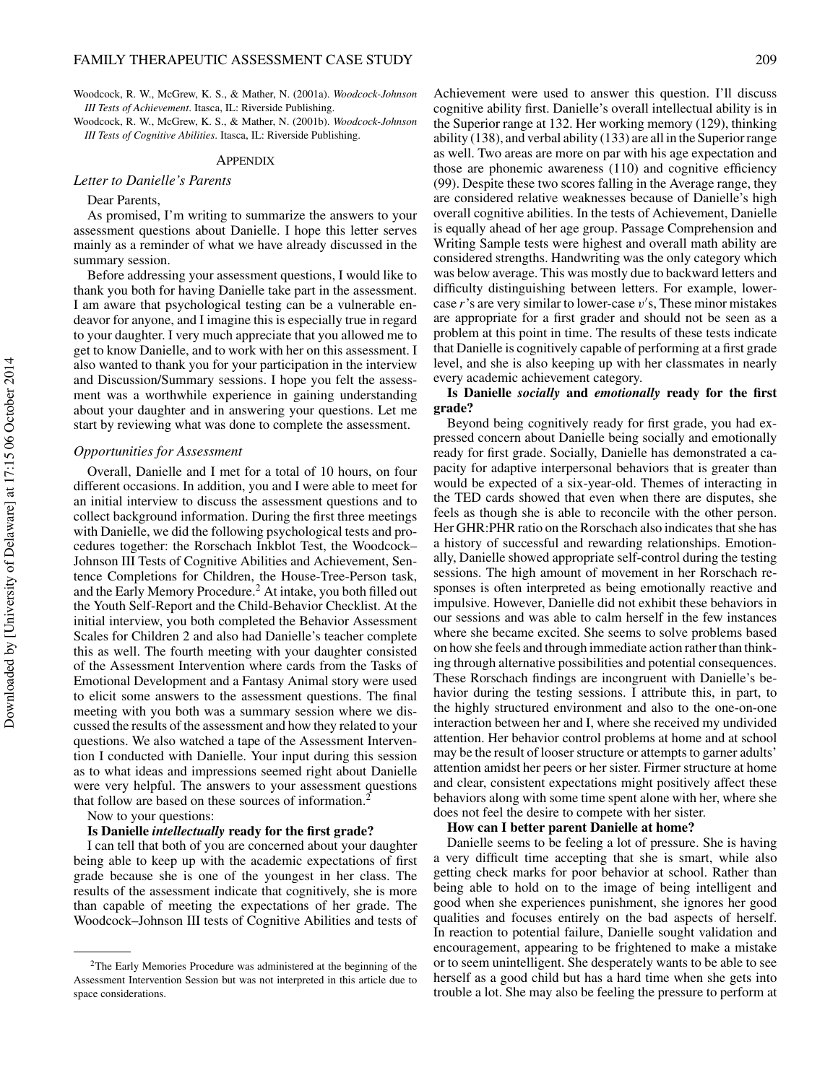Woodcock, R. W., McGrew, K. S., & Mather, N. (2001a). *Woodcock-Johnson III Tests of Achievement*. Itasca, IL: Riverside Publishing.

Woodcock, R. W., McGrew, K. S., & Mather, N. (2001b). *Woodcock-Johnson III Tests of Cognitive Abilities*. Itasca, IL: Riverside Publishing.

#### APPENDIX

# *Letter to Danielle's Parents*

#### Dear Parents,

As promised, I'm writing to summarize the answers to your assessment questions about Danielle. I hope this letter serves mainly as a reminder of what we have already discussed in the summary session.

Before addressing your assessment questions, I would like to thank you both for having Danielle take part in the assessment. I am aware that psychological testing can be a vulnerable endeavor for anyone, and I imagine this is especially true in regard to your daughter. I very much appreciate that you allowed me to get to know Danielle, and to work with her on this assessment. I also wanted to thank you for your participation in the interview and Discussion/Summary sessions. I hope you felt the assessment was a worthwhile experience in gaining understanding about your daughter and in answering your questions. Let me start by reviewing what was done to complete the assessment.

# *Opportunities for Assessment*

Overall, Danielle and I met for a total of 10 hours, on four different occasions. In addition, you and I were able to meet for an initial interview to discuss the assessment questions and to collect background information. During the first three meetings with Danielle, we did the following psychological tests and procedures together: the Rorschach Inkblot Test, the Woodcock– Johnson III Tests of Cognitive Abilities and Achievement, Sentence Completions for Children, the House-Tree-Person task, and the Early Memory Procedure.<sup>2</sup> At intake, you both filled out the Youth Self-Report and the Child-Behavior Checklist. At the initial interview, you both completed the Behavior Assessment Scales for Children 2 and also had Danielle's teacher complete this as well. The fourth meeting with your daughter consisted of the Assessment Intervention where cards from the Tasks of Emotional Development and a Fantasy Animal story were used to elicit some answers to the assessment questions. The final meeting with you both was a summary session where we discussed the results of the assessment and how they related to your questions. We also watched a tape of the Assessment Intervention I conducted with Danielle. Your input during this session as to what ideas and impressions seemed right about Danielle were very helpful. The answers to your assessment questions that follow are based on these sources of information.2

Now to your questions:

#### **Is Danielle** *intellectually* **ready for the first grade?**

I can tell that both of you are concerned about your daughter being able to keep up with the academic expectations of first grade because she is one of the youngest in her class. The results of the assessment indicate that cognitively, she is more than capable of meeting the expectations of her grade. The Woodcock–Johnson III tests of Cognitive Abilities and tests of Achievement were used to answer this question. I'll discuss cognitive ability first. Danielle's overall intellectual ability is in the Superior range at 132. Her working memory (129), thinking ability (138), and verbal ability (133) are all in the Superior range as well. Two areas are more on par with his age expectation and those are phonemic awareness (110) and cognitive efficiency (99). Despite these two scores falling in the Average range, they are considered relative weaknesses because of Danielle's high overall cognitive abilities. In the tests of Achievement, Danielle is equally ahead of her age group. Passage Comprehension and Writing Sample tests were highest and overall math ability are considered strengths. Handwriting was the only category which was below average. This was mostly due to backward letters and difficulty distinguishing between letters. For example, lowercase *r*'s are very similar to lower-case *v*′ s, These minor mistakes are appropriate for a first grader and should not be seen as a problem at this point in time. The results of these tests indicate that Danielle is cognitively capable of performing at a first grade level, and she is also keeping up with her classmates in nearly every academic achievement category.

# **Is Danielle** *socially* **and** *emotionally* **ready for the first grade?**

Beyond being cognitively ready for first grade, you had expressed concern about Danielle being socially and emotionally ready for first grade. Socially, Danielle has demonstrated a capacity for adaptive interpersonal behaviors that is greater than would be expected of a six-year-old. Themes of interacting in the TED cards showed that even when there are disputes, she feels as though she is able to reconcile with the other person. Her GHR:PHR ratio on the Rorschach also indicates that she has a history of successful and rewarding relationships. Emotionally, Danielle showed appropriate self-control during the testing sessions. The high amount of movement in her Rorschach responses is often interpreted as being emotionally reactive and impulsive. However, Danielle did not exhibit these behaviors in our sessions and was able to calm herself in the few instances where she became excited. She seems to solve problems based on how she feels and through immediate action rather than thinking through alternative possibilities and potential consequences. These Rorschach findings are incongruent with Danielle's behavior during the testing sessions. I attribute this, in part, to the highly structured environment and also to the one-on-one interaction between her and I, where she received my undivided attention. Her behavior control problems at home and at school may be the result of looser structure or attempts to garner adults' attention amidst her peers or her sister. Firmer structure at home and clear, consistent expectations might positively affect these behaviors along with some time spent alone with her, where she does not feel the desire to compete with her sister.

# **How can I better parent Danielle at home?**

Danielle seems to be feeling a lot of pressure. She is having a very difficult time accepting that she is smart, while also getting check marks for poor behavior at school. Rather than being able to hold on to the image of being intelligent and good when she experiences punishment, she ignores her good qualities and focuses entirely on the bad aspects of herself. In reaction to potential failure, Danielle sought validation and encouragement, appearing to be frightened to make a mistake or to seem unintelligent. She desperately wants to be able to see herself as a good child but has a hard time when she gets into trouble a lot. She may also be feeling the pressure to perform at

<sup>2</sup>The Early Memories Procedure was administered at the beginning of the Assessment Intervention Session but was not interpreted in this article due to space considerations.